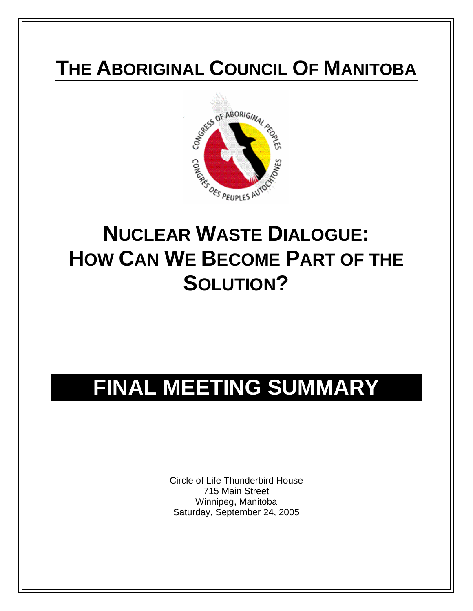### **THE ABORIGINAL COUNCIL OF MANITOBA**



## **NUCLEAR WASTE DIALOGUE: HOW CAN WE BECOME PART OF THE SOLUTION?**

# **FINAL MEETING SUMMARY**

Circle of Life Thunderbird House 715 Main Street Winnipeg, Manitoba Saturday, September 24, 2005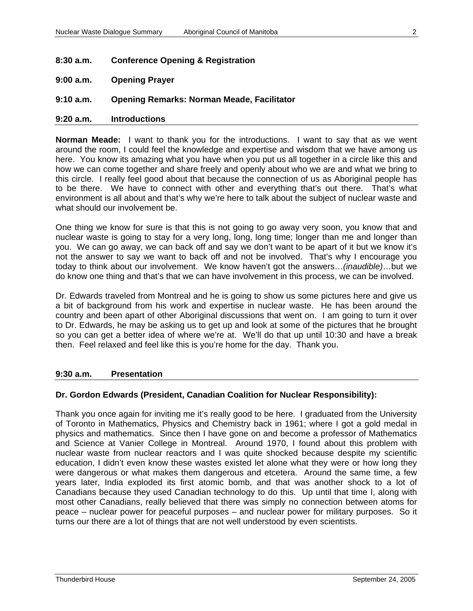- **8:30 a.m. Conference Opening & Registration**
- **9:00 a.m. Opening Prayer**

#### **9:10 a.m. Opening Remarks: Norman Meade, Facilitator**

#### **9:20 a.m. Introductions**

**Norman Meade:** I want to thank you for the introductions. I want to say that as we went around the room, I could feel the knowledge and expertise and wisdom that we have among us here. You know its amazing what you have when you put us all together in a circle like this and how we can come together and share freely and openly about who we are and what we bring to this circle. I really feel good about that because the connection of us as Aboriginal people has to be there. We have to connect with other and everything that's out there. That's what environment is all about and that's why we're here to talk about the subject of nuclear waste and what should our involvement be.

One thing we know for sure is that this is not going to go away very soon, you know that and nuclear waste is going to stay for a very long, long, long time; longer than me and longer than you. We can go away, we can back off and say we don't want to be apart of it but we know it's not the answer to say we want to back off and not be involved. That's why I encourage you today to think about our involvement. We know haven't got the answers…*(inaudible)*…but we do know one thing and that's that we can have involvement in this process, we can be involved.

Dr. Edwards traveled from Montreal and he is going to show us some pictures here and give us a bit of background from his work and expertise in nuclear waste. He has been around the country and been apart of other Aboriginal discussions that went on. I am going to turn it over to Dr. Edwards, he may be asking us to get up and look at some of the pictures that he brought so you can get a better idea of where we're at. We'll do that up until 10:30 and have a break then. Feel relaxed and feel like this is you're home for the day. Thank you.

#### **9:30 a.m. Presentation**

#### **Dr. Gordon Edwards (President, Canadian Coalition for Nuclear Responsibility):**

Thank you once again for inviting me it's really good to be here. I graduated from the University of Toronto in Mathematics, Physics and Chemistry back in 1961; where I got a gold medal in physics and mathematics. Since then I have gone on and become a professor of Mathematics and Science at Vanier College in Montreal. Around 1970, I found about this problem with nuclear waste from nuclear reactors and I was quite shocked because despite my scientific education, I didn't even know these wastes existed let alone what they were or how long they were dangerous or what makes them dangerous and etcetera. Around the same time, a few years later, India exploded its first atomic bomb, and that was another shock to a lot of Canadians because they used Canadian technology to do this. Up until that time I, along with most other Canadians, really believed that there was simply no connection between atoms for peace – nuclear power for peaceful purposes – and nuclear power for military purposes. So it turns our there are a lot of things that are not well understood by even scientists.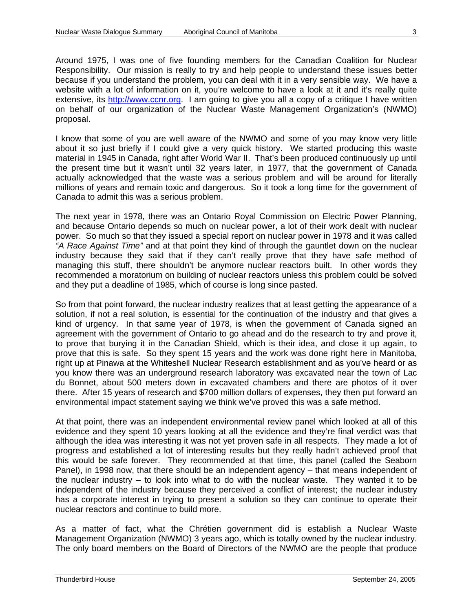Around 1975, I was one of five founding members for the Canadian Coalition for Nuclear Responsibility. Our mission is really to try and help people to understand these issues better because if you understand the problem, you can deal with it in a very sensible way. We have a website with a lot of information on it, you're welcome to have a look at it and it's really quite extensive, its [http://www.ccnr.org](http://www.ccnr.org/). I am going to give you all a copy of a critique I have written on behalf of our organization of the Nuclear Waste Management Organization's (NWMO) proposal.

I know that some of you are well aware of the NWMO and some of you may know very little about it so just briefly if I could give a very quick history. We started producing this waste material in 1945 in Canada, right after World War II. That's been produced continuously up until the present time but it wasn't until 32 years later, in 1977, that the government of Canada actually acknowledged that the waste was a serious problem and will be around for literally millions of years and remain toxic and dangerous. So it took a long time for the government of Canada to admit this was a serious problem.

The next year in 1978, there was an Ontario Royal Commission on Electric Power Planning, and because Ontario depends so much on nuclear power, a lot of their work dealt with nuclear power. So much so that they issued a special report on nuclear power in 1978 and it was called *"A Race Against Time"* and at that point they kind of through the gauntlet down on the nuclear industry because they said that if they can't really prove that they have safe method of managing this stuff, there shouldn't be anymore nuclear reactors built. In other words they recommended a moratorium on building of nuclear reactors unless this problem could be solved and they put a deadline of 1985, which of course is long since pasted.

So from that point forward, the nuclear industry realizes that at least getting the appearance of a solution, if not a real solution, is essential for the continuation of the industry and that gives a kind of urgency. In that same year of 1978, is when the government of Canada signed an agreement with the government of Ontario to go ahead and do the research to try and prove it, to prove that burying it in the Canadian Shield, which is their idea, and close it up again, to prove that this is safe. So they spent 15 years and the work was done right here in Manitoba, right up at Pinawa at the Whiteshell Nuclear Research establishment and as you've heard or as you know there was an underground research laboratory was excavated near the town of Lac du Bonnet, about 500 meters down in excavated chambers and there are photos of it over there. After 15 years of research and \$700 million dollars of expenses, they then put forward an environmental impact statement saying we think we've proved this was a safe method.

At that point, there was an independent environmental review panel which looked at all of this evidence and they spent 10 years looking at all the evidence and they're final verdict was that although the idea was interesting it was not yet proven safe in all respects. They made a lot of progress and established a lot of interesting results but they really hadn't achieved proof that this would be safe forever. They recommended at that time, this panel (called the Seaborn Panel), in 1998 now, that there should be an independent agency – that means independent of the nuclear industry – to look into what to do with the nuclear waste. They wanted it to be independent of the industry because they perceived a conflict of interest; the nuclear industry has a corporate interest in trying to present a solution so they can continue to operate their nuclear reactors and continue to build more.

As a matter of fact, what the Chrétien government did is establish a Nuclear Waste Management Organization (NWMO) 3 years ago, which is totally owned by the nuclear industry. The only board members on the Board of Directors of the NWMO are the people that produce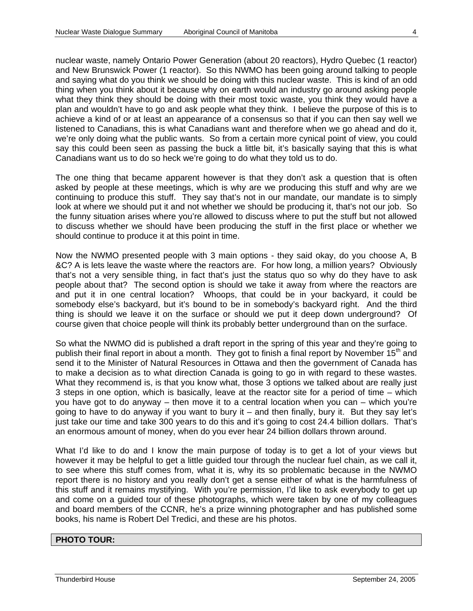nuclear waste, namely Ontario Power Generation (about 20 reactors), Hydro Quebec (1 reactor) and New Brunswick Power (1 reactor). So this NWMO has been going around talking to people and saying what do you think we should be doing with this nuclear waste. This is kind of an odd thing when you think about it because why on earth would an industry go around asking people what they think they should be doing with their most toxic waste, you think they would have a plan and wouldn't have to go and ask people what they think. I believe the purpose of this is to achieve a kind of or at least an appearance of a consensus so that if you can then say well we listened to Canadians, this is what Canadians want and therefore when we go ahead and do it, we're only doing what the public wants. So from a certain more cynical point of view, you could say this could been seen as passing the buck a little bit, it's basically saying that this is what Canadians want us to do so heck we're going to do what they told us to do.

The one thing that became apparent however is that they don't ask a question that is often asked by people at these meetings, which is why are we producing this stuff and why are we continuing to produce this stuff. They say that's not in our mandate, our mandate is to simply look at where we should put it and not whether we should be producing it, that's not our job. So the funny situation arises where you're allowed to discuss where to put the stuff but not allowed to discuss whether we should have been producing the stuff in the first place or whether we should continue to produce it at this point in time.

Now the NWMO presented people with 3 main options - they said okay, do you choose A, B &C? A is lets leave the waste where the reactors are. For how long, a million years? Obviously that's not a very sensible thing, in fact that's just the status quo so why do they have to ask people about that? The second option is should we take it away from where the reactors are and put it in one central location? Whoops, that could be in your backyard, it could be somebody else's backyard, but it's bound to be in somebody's backyard right. And the third thing is should we leave it on the surface or should we put it deep down underground? Of course given that choice people will think its probably better underground than on the surface.

So what the NWMO did is published a draft report in the spring of this year and they're going to publish their final report in about a month. They got to finish a final report by November 15<sup>th</sup> and send it to the Minister of Natural Resources in Ottawa and then the government of Canada has to make a decision as to what direction Canada is going to go in with regard to these wastes. What they recommend is, is that you know what, those 3 options we talked about are really just 3 steps in one option, which is basically, leave at the reactor site for a period of time – which you have got to do anyway – then move it to a central location when you can – which you're going to have to do anyway if you want to bury it – and then finally, bury it. But they say let's just take our time and take 300 years to do this and it's going to cost 24.4 billion dollars. That's an enormous amount of money, when do you ever hear 24 billion dollars thrown around.

What I'd like to do and I know the main purpose of today is to get a lot of your views but however it may be helpful to get a little guided tour through the nuclear fuel chain, as we call it, to see where this stuff comes from, what it is, why its so problematic because in the NWMO report there is no history and you really don't get a sense either of what is the harmfulness of this stuff and it remains mystifying. With you're permission, I'd like to ask everybody to get up and come on a guided tour of these photographs, which were taken by one of my colleagues and board members of the CCNR, he's a prize winning photographer and has published some books, his name is Robert Del Tredici, and these are his photos.

#### **PHOTO TOUR:**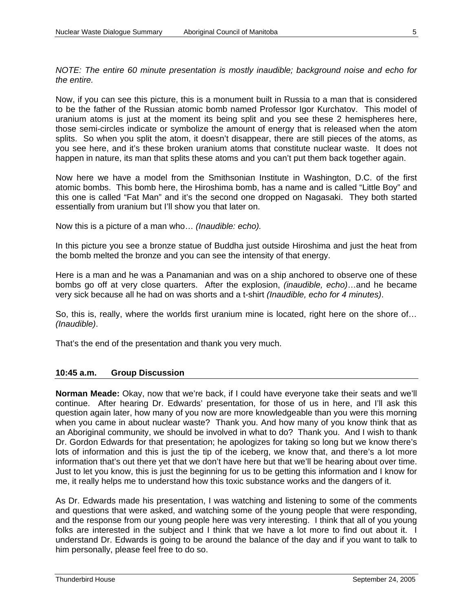*NOTE: The entire 60 minute presentation is mostly inaudible; background noise and echo for the entire.* 

Now, if you can see this picture, this is a monument built in Russia to a man that is considered to be the father of the Russian atomic bomb named Professor Igor Kurchatov. This model of uranium atoms is just at the moment its being split and you see these 2 hemispheres here, those semi-circles indicate or symbolize the amount of energy that is released when the atom splits. So when you split the atom, it doesn't disappear, there are still pieces of the atoms, as you see here, and it's these broken uranium atoms that constitute nuclear waste. It does not happen in nature, its man that splits these atoms and you can't put them back together again.

Now here we have a model from the Smithsonian Institute in Washington, D.C. of the first atomic bombs. This bomb here, the Hiroshima bomb, has a name and is called "Little Boy" and this one is called "Fat Man" and it's the second one dropped on Nagasaki. They both started essentially from uranium but I'll show you that later on.

Now this is a picture of a man who… *(Inaudible: echo).*

In this picture you see a bronze statue of Buddha just outside Hiroshima and just the heat from the bomb melted the bronze and you can see the intensity of that energy.

Here is a man and he was a Panamanian and was on a ship anchored to observe one of these bombs go off at very close quarters. After the explosion, *(inaudible, echo)*…and he became very sick because all he had on was shorts and a t-shirt *(Inaudible, echo for 4 minutes)*.

So, this is, really, where the worlds first uranium mine is located, right here on the shore of… *(Inaudible)*.

That's the end of the presentation and thank you very much.

#### **10:45 a.m. Group Discussion**

**Norman Meade:** Okay, now that we're back, if I could have everyone take their seats and we'll continue. After hearing Dr. Edwards' presentation, for those of us in here, and I'll ask this question again later, how many of you now are more knowledgeable than you were this morning when you came in about nuclear waste? Thank you. And how many of you know think that as an Aboriginal community, we should be involved in what to do? Thank you. And I wish to thank Dr. Gordon Edwards for that presentation; he apologizes for taking so long but we know there's lots of information and this is just the tip of the iceberg, we know that, and there's a lot more information that's out there yet that we don't have here but that we'll be hearing about over time. Just to let you know, this is just the beginning for us to be getting this information and I know for me, it really helps me to understand how this toxic substance works and the dangers of it.

As Dr. Edwards made his presentation, I was watching and listening to some of the comments and questions that were asked, and watching some of the young people that were responding, and the response from our young people here was very interesting. I think that all of you young folks are interested in the subject and I think that we have a lot more to find out about it. I understand Dr. Edwards is going to be around the balance of the day and if you want to talk to him personally, please feel free to do so.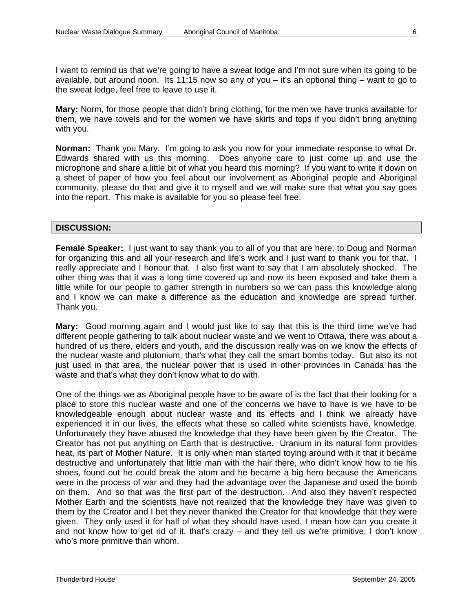I want to remind us that we're going to have a sweat lodge and I'm not sure when its going to be available, but around noon. Its 11:15 now so any of you  $-$  it's an optional thing  $-$  want to go to the sweat lodge, feel free to leave to use it.

**Mary:** Norm, for those people that didn't bring clothing, for the men we have trunks available for them, we have towels and for the women we have skirts and tops if you didn't bring anything with you.

**Norman:** Thank you Mary. I'm going to ask you now for your immediate response to what Dr. Edwards shared with us this morning. Does anyone care to just come up and use the microphone and share a little bit of what you heard this morning? If you want to write it down on a sheet of paper of how you feel about our involvement as Aboriginal people and Aboriginal community, please do that and give it to myself and we will make sure that what you say goes into the report. This make is available for you so please feel free.

#### **DISCUSSION:**

**Female Speaker:** I just want to say thank you to all of you that are here, to Doug and Norman for organizing this and all your research and life's work and I just want to thank you for that. I really appreciate and I honour that. I also first want to say that I am absolutely shocked. The other thing was that it was a long time covered up and now its been exposed and take them a little while for our people to gather strength in numbers so we can pass this knowledge along and I know we can make a difference as the education and knowledge are spread further. Thank you.

**Mary:** Good morning again and I would just like to say that this is the third time we've had different people gathering to talk about nuclear waste and we went to Ottawa, there was about a hundred of us there, elders and youth, and the discussion really was on we know the effects of the nuclear waste and plutonium, that's what they call the smart bombs today. But also its not just used in that area, the nuclear power that is used in other provinces in Canada has the waste and that's what they don't know what to do with.

One of the things we as Aboriginal people have to be aware of is the fact that their looking for a place to store this nuclear waste and one of the concerns we have to have is we have to be knowledgeable enough about nuclear waste and its effects and I think we already have experienced it in our lives, the effects what these so called white scientists have, knowledge. Unfortunately they have abused the knowledge that they have been given by the Creator. The Creator has not put anything on Earth that is destructive. Uranium in its natural form provides heat, its part of Mother Nature. It is only when man started toying around with it that it became destructive and unfortunately that little man with the hair there, who didn't know how to tie his shoes, found out he could break the atom and he became a big hero because the Americans were in the process of war and they had the advantage over the Japanese and used the bomb on them. And so that was the first part of the destruction. And also they haven't respected Mother Earth and the scientists have not realized that the knowledge they have was given to them by the Creator and I bet they never thanked the Creator for that knowledge that they were given. They only used it for half of what they should have used, I mean how can you create it and not know how to get rid of it, that's crazy – and they tell us we're primitive, I don't know who's more primitive than whom.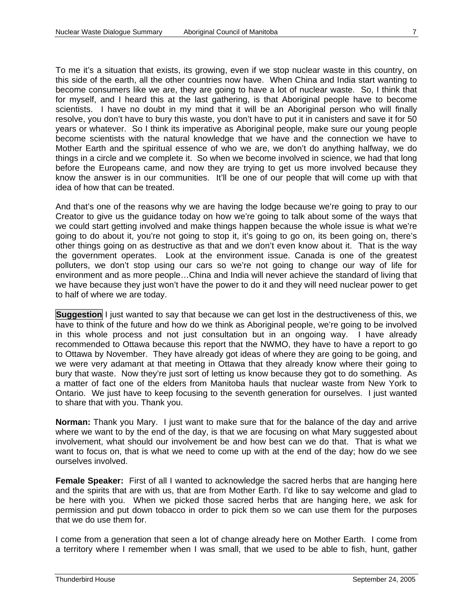To me it's a situation that exists, its growing, even if we stop nuclear waste in this country, on this side of the earth, all the other countries now have. When China and India start wanting to become consumers like we are, they are going to have a lot of nuclear waste. So, I think that for myself, and I heard this at the last gathering, is that Aboriginal people have to become scientists. I have no doubt in my mind that it will be an Aboriginal person who will finally resolve, you don't have to bury this waste, you don't have to put it in canisters and save it for 50 years or whatever. So I think its imperative as Aboriginal people, make sure our young people become scientists with the natural knowledge that we have and the connection we have to Mother Earth and the spiritual essence of who we are, we don't do anything halfway, we do things in a circle and we complete it. So when we become involved in science, we had that long before the Europeans came, and now they are trying to get us more involved because they know the answer is in our communities. It'll be one of our people that will come up with that idea of how that can be treated.

And that's one of the reasons why we are having the lodge because we're going to pray to our Creator to give us the guidance today on how we're going to talk about some of the ways that we could start getting involved and make things happen because the whole issue is what we're going to do about it, you're not going to stop it, it's going to go on, its been going on, there's other things going on as destructive as that and we don't even know about it. That is the way the government operates. Look at the environment issue. Canada is one of the greatest polluters, we don't stop using our cars so we're not going to change our way of life for environment and as more people…China and India will never achieve the standard of living that we have because they just won't have the power to do it and they will need nuclear power to get to half of where we are today.

**Suggestion** I just wanted to say that because we can get lost in the destructiveness of this, we have to think of the future and how do we think as Aboriginal people, we're going to be involved in this whole process and not just consultation but in an ongoing way. I have already recommended to Ottawa because this report that the NWMO, they have to have a report to go to Ottawa by November. They have already got ideas of where they are going to be going, and we were very adamant at that meeting in Ottawa that they already know where their going to bury that waste. Now they're just sort of letting us know because they got to do something. As a matter of fact one of the elders from Manitoba hauls that nuclear waste from New York to Ontario. We just have to keep focusing to the seventh generation for ourselves. I just wanted to share that with you. Thank you.

**Norman:** Thank you Mary. I just want to make sure that for the balance of the day and arrive where we want to by the end of the day, is that we are focusing on what Mary suggested about involvement, what should our involvement be and how best can we do that. That is what we want to focus on, that is what we need to come up with at the end of the day; how do we see ourselves involved.

**Female Speaker:** First of all I wanted to acknowledge the sacred herbs that are hanging here and the spirits that are with us, that are from Mother Earth. I'd like to say welcome and glad to be here with you. When we picked those sacred herbs that are hanging here, we ask for permission and put down tobacco in order to pick them so we can use them for the purposes that we do use them for.

I come from a generation that seen a lot of change already here on Mother Earth. I come from a territory where I remember when I was small, that we used to be able to fish, hunt, gather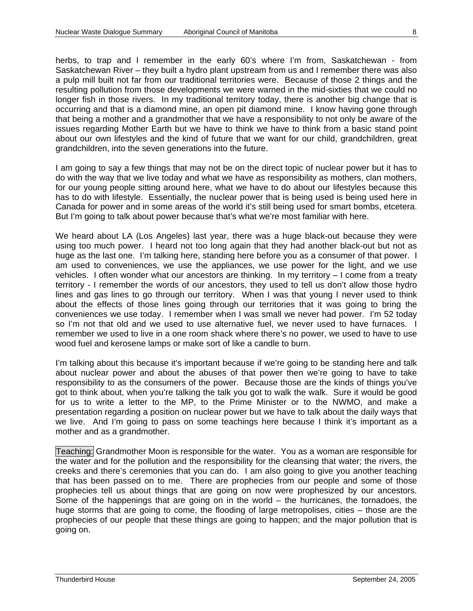herbs, to trap and I remember in the early 60's where I'm from, Saskatchewan - from Saskatchewan River – they built a hydro plant upstream from us and I remember there was also a pulp mill built not far from our traditional territories were. Because of those 2 things and the resulting pollution from those developments we were warned in the mid-sixties that we could no longer fish in those rivers. In my traditional territory today, there is another big change that is occurring and that is a diamond mine, an open pit diamond mine. I know having gone through that being a mother and a grandmother that we have a responsibility to not only be aware of the issues regarding Mother Earth but we have to think we have to think from a basic stand point about our own lifestyles and the kind of future that we want for our child, grandchildren, great grandchildren, into the seven generations into the future.

I am going to say a few things that may not be on the direct topic of nuclear power but it has to do with the way that we live today and what we have as responsibility as mothers, clan mothers, for our young people sitting around here, what we have to do about our lifestyles because this has to do with lifestyle. Essentially, the nuclear power that is being used is being used here in Canada for power and in some areas of the world it's still being used for smart bombs, etcetera. But I'm going to talk about power because that's what we're most familiar with here.

We heard about LA (Los Angeles) last year, there was a huge black-out because they were using too much power. I heard not too long again that they had another black-out but not as huge as the last one. I'm talking here, standing here before you as a consumer of that power. I am used to conveniences, we use the appliances, we use power for the light, and we use vehicles. I often wonder what our ancestors are thinking. In my territory – I come from a treaty territory - I remember the words of our ancestors, they used to tell us don't allow those hydro lines and gas lines to go through our territory. When I was that young I never used to think about the effects of those lines going through our territories that it was going to bring the conveniences we use today. I remember when I was small we never had power. I'm 52 today so I'm not that old and we used to use alternative fuel, we never used to have furnaces. I remember we used to live in a one room shack where there's no power, we used to have to use wood fuel and kerosene lamps or make sort of like a candle to burn.

I'm talking about this because it's important because if we're going to be standing here and talk about nuclear power and about the abuses of that power then we're going to have to take responsibility to as the consumers of the power. Because those are the kinds of things you've got to think about, when you're talking the talk you got to walk the walk. Sure it would be good for us to write a letter to the MP, to the Prime Minister or to the NWMO, and make a presentation regarding a position on nuclear power but we have to talk about the daily ways that we live. And I'm going to pass on some teachings here because I think it's important as a mother and as a grandmother.

Teaching: Grandmother Moon is responsible for the water. You as a woman are responsible for the water and for the pollution and the responsibility for the cleansing that water; the rivers, the creeks and there's ceremonies that you can do. I am also going to give you another teaching that has been passed on to me. There are prophecies from our people and some of those prophecies tell us about things that are going on now were prophesized by our ancestors. Some of the happenings that are going on in the world – the hurricanes, the tornadoes, the huge storms that are going to come, the flooding of large metropolises, cities – those are the prophecies of our people that these things are going to happen; and the major pollution that is going on.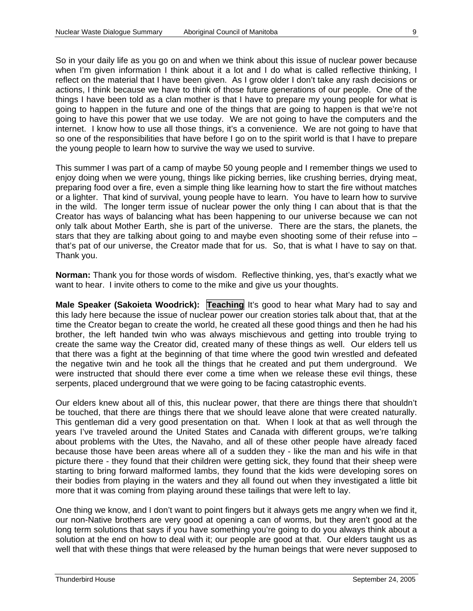So in your daily life as you go on and when we think about this issue of nuclear power because when I'm given information I think about it a lot and I do what is called reflective thinking, I reflect on the material that I have been given. As I grow older I don't take any rash decisions or actions, I think because we have to think of those future generations of our people. One of the things I have been told as a clan mother is that I have to prepare my young people for what is going to happen in the future and one of the things that are going to happen is that we're not going to have this power that we use today. We are not going to have the computers and the internet. I know how to use all those things, it's a convenience. We are not going to have that so one of the responsibilities that have before I go on to the spirit world is that I have to prepare the young people to learn how to survive the way we used to survive.

This summer I was part of a camp of maybe 50 young people and I remember things we used to enjoy doing when we were young, things like picking berries, like crushing berries, drying meat, preparing food over a fire, even a simple thing like learning how to start the fire without matches or a lighter. That kind of survival, young people have to learn. You have to learn how to survive in the wild. The longer term issue of nuclear power the only thing I can about that is that the Creator has ways of balancing what has been happening to our universe because we can not only talk about Mother Earth, she is part of the universe. There are the stars, the planets, the stars that they are talking about going to and maybe even shooting some of their refuse into – that's pat of our universe, the Creator made that for us. So, that is what I have to say on that. Thank you.

**Norman:** Thank you for those words of wisdom. Reflective thinking, yes, that's exactly what we want to hear. I invite others to come to the mike and give us your thoughts.

**Male Speaker (Sakoieta Woodrick): Teaching It's good to hear what Mary had to say and** this lady here because the issue of nuclear power our creation stories talk about that, that at the time the Creator began to create the world, he created all these good things and then he had his brother, the left handed twin who was always mischievous and getting into trouble trying to create the same way the Creator did, created many of these things as well. Our elders tell us that there was a fight at the beginning of that time where the good twin wrestled and defeated the negative twin and he took all the things that he created and put them underground. We were instructed that should there ever come a time when we release these evil things, these serpents, placed underground that we were going to be facing catastrophic events.

Our elders knew about all of this, this nuclear power, that there are things there that shouldn't be touched, that there are things there that we should leave alone that were created naturally. This gentleman did a very good presentation on that. When I look at that as well through the years I've traveled around the United States and Canada with different groups, we're talking about problems with the Utes, the Navaho, and all of these other people have already faced because those have been areas where all of a sudden they - like the man and his wife in that picture there - they found that their children were getting sick, they found that their sheep were starting to bring forward malformed lambs, they found that the kids were developing sores on their bodies from playing in the waters and they all found out when they investigated a little bit more that it was coming from playing around these tailings that were left to lay.

One thing we know, and I don't want to point fingers but it always gets me angry when we find it, our non-Native brothers are very good at opening a can of worms, but they aren't good at the long term solutions that says if you have something you're going to do you always think about a solution at the end on how to deal with it; our people are good at that. Our elders taught us as well that with these things that were released by the human beings that were never supposed to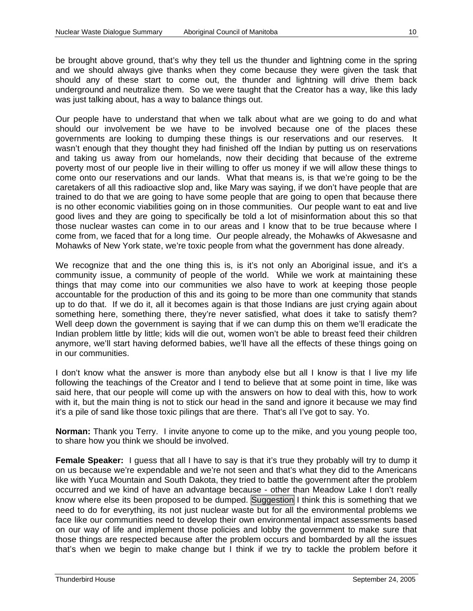be brought above ground, that's why they tell us the thunder and lightning come in the spring and we should always give thanks when they come because they were given the task that should any of these start to come out, the thunder and lightning will drive them back underground and neutralize them. So we were taught that the Creator has a way, like this lady was just talking about, has a way to balance things out.

Our people have to understand that when we talk about what are we going to do and what should our involvement be we have to be involved because one of the places these governments are looking to dumping these things is our reservations and our reserves. It wasn't enough that they thought they had finished off the Indian by putting us on reservations and taking us away from our homelands, now their deciding that because of the extreme poverty most of our people live in their willing to offer us money if we will allow these things to come onto our reservations and our lands. What that means is, is that we're going to be the caretakers of all this radioactive slop and, like Mary was saying, if we don't have people that are trained to do that we are going to have some people that are going to open that because there is no other economic viabilities going on in those communities. Our people want to eat and live good lives and they are going to specifically be told a lot of misinformation about this so that those nuclear wastes can come in to our areas and I know that to be true because where I come from, we faced that for a long time. Our people already, the Mohawks of Akwesasne and Mohawks of New York state, we're toxic people from what the government has done already.

We recognize that and the one thing this is, is it's not only an Aboriginal issue, and it's a community issue, a community of people of the world. While we work at maintaining these things that may come into our communities we also have to work at keeping those people accountable for the production of this and its going to be more than one community that stands up to do that. If we do it, all it becomes again is that those Indians are just crying again about something here, something there, they're never satisfied, what does it take to satisfy them? Well deep down the government is saying that if we can dump this on them we'll eradicate the Indian problem little by little; kids will die out, women won't be able to breast feed their children anymore, we'll start having deformed babies, we'll have all the effects of these things going on in our communities.

I don't know what the answer is more than anybody else but all I know is that I live my life following the teachings of the Creator and I tend to believe that at some point in time, like was said here, that our people will come up with the answers on how to deal with this, how to work with it, but the main thing is not to stick our head in the sand and ignore it because we may find it's a pile of sand like those toxic pilings that are there. That's all I've got to say. Yo.

**Norman:** Thank you Terry. I invite anyone to come up to the mike, and you young people too, to share how you think we should be involved.

**Female Speaker:** I guess that all I have to say is that it's true they probably will try to dump it on us because we're expendable and we're not seen and that's what they did to the Americans like with Yuca Mountain and South Dakota, they tried to battle the government after the problem occurred and we kind of have an advantage because - other than Meadow Lake I don't really know where else its been proposed to be dumped. Suggestion I think this is something that we need to do for everything, its not just nuclear waste but for all the environmental problems we face like our communities need to develop their own environmental impact assessments based on our way of life and implement those policies and lobby the government to make sure that those things are respected because after the problem occurs and bombarded by all the issues that's when we begin to make change but I think if we try to tackle the problem before it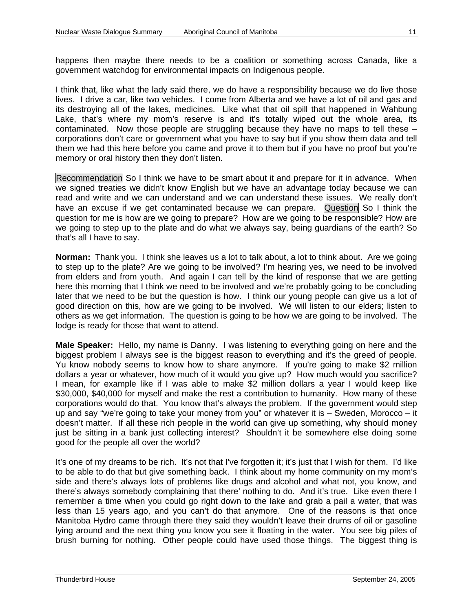happens then maybe there needs to be a coalition or something across Canada, like a government watchdog for environmental impacts on Indigenous people.

I think that, like what the lady said there, we do have a responsibility because we do live those lives. I drive a car, like two vehicles. I come from Alberta and we have a lot of oil and gas and its destroying all of the lakes, medicines. Like what that oil spill that happened in Wahbung Lake, that's where my mom's reserve is and it's totally wiped out the whole area, its contaminated. Now those people are struggling because they have no maps to tell these – corporations don't care or government what you have to say but if you show them data and tell them we had this here before you came and prove it to them but if you have no proof but you're memory or oral history then they don't listen.

Recommendation So I think we have to be smart about it and prepare for it in advance. When we signed treaties we didn't know English but we have an advantage today because we can read and write and we can understand and we can understand these issues. We really don't have an excuse if we get contaminated because we can prepare. Question So I think the question for me is how are we going to prepare? How are we going to be responsible? How are we going to step up to the plate and do what we always say, being guardians of the earth? So that's all I have to say.

**Norman:** Thank you. I think she leaves us a lot to talk about, a lot to think about. Are we going to step up to the plate? Are we going to be involved? I'm hearing yes, we need to be involved from elders and from youth. And again I can tell by the kind of response that we are getting here this morning that I think we need to be involved and we're probably going to be concluding later that we need to be but the question is how. I think our young people can give us a lot of good direction on this, how are we going to be involved. We will listen to our elders; listen to others as we get information. The question is going to be how we are going to be involved. The lodge is ready for those that want to attend.

**Male Speaker:** Hello, my name is Danny. I was listening to everything going on here and the biggest problem I always see is the biggest reason to everything and it's the greed of people. Yu know nobody seems to know how to share anymore. If you're going to make \$2 million dollars a year or whatever, how much of it would you give up? How much would you sacrifice? I mean, for example like if I was able to make \$2 million dollars a year I would keep like \$30,000, \$40,000 for myself and make the rest a contribution to humanity. How many of these corporations would do that. You know that's always the problem. If the government would step up and say "we're going to take your money from you" or whatever it is – Sweden, Morocco – it doesn't matter. If all these rich people in the world can give up something, why should money just be sitting in a bank just collecting interest? Shouldn't it be somewhere else doing some good for the people all over the world?

It's one of my dreams to be rich. It's not that I've forgotten it; it's just that I wish for them. I'd like to be able to do that but give something back. I think about my home community on my mom's side and there's always lots of problems like drugs and alcohol and what not, you know, and there's always somebody complaining that there' nothing to do. And it's true. Like even there I remember a time when you could go right down to the lake and grab a pail a water, that was less than 15 years ago, and you can't do that anymore. One of the reasons is that once Manitoba Hydro came through there they said they wouldn't leave their drums of oil or gasoline lying around and the next thing you know you see it floating in the water. You see big piles of brush burning for nothing. Other people could have used those things. The biggest thing is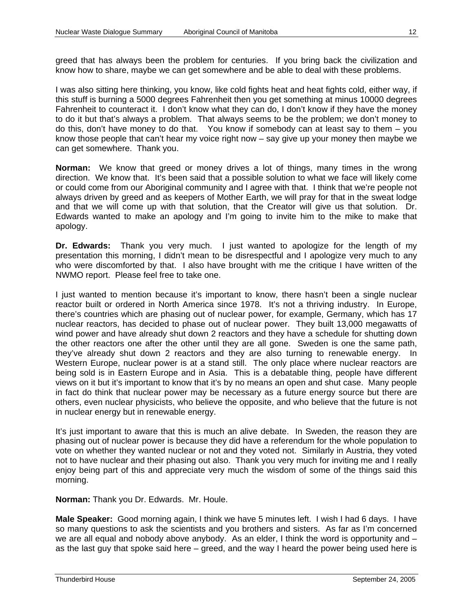greed that has always been the problem for centuries. If you bring back the civilization and know how to share, maybe we can get somewhere and be able to deal with these problems.

I was also sitting here thinking, you know, like cold fights heat and heat fights cold, either way, if this stuff is burning a 5000 degrees Fahrenheit then you get something at minus 10000 degrees Fahrenheit to counteract it. I don't know what they can do, I don't know if they have the money to do it but that's always a problem. That always seems to be the problem; we don't money to do this, don't have money to do that. You know if somebody can at least say to them – you know those people that can't hear my voice right now – say give up your money then maybe we can get somewhere. Thank you.

**Norman:** We know that greed or money drives a lot of things, many times in the wrong direction. We know that. It's been said that a possible solution to what we face will likely come or could come from our Aboriginal community and I agree with that. I think that we're people not always driven by greed and as keepers of Mother Earth, we will pray for that in the sweat lodge and that we will come up with that solution, that the Creator will give us that solution. Dr. Edwards wanted to make an apology and I'm going to invite him to the mike to make that apology.

**Dr. Edwards:** Thank you very much. I just wanted to apologize for the length of my presentation this morning, I didn't mean to be disrespectful and I apologize very much to any who were discomforted by that. I also have brought with me the critique I have written of the NWMO report. Please feel free to take one.

I just wanted to mention because it's important to know, there hasn't been a single nuclear reactor built or ordered in North America since 1978. It's not a thriving industry. In Europe, there's countries which are phasing out of nuclear power, for example, Germany, which has 17 nuclear reactors, has decided to phase out of nuclear power. They built 13,000 megawatts of wind power and have already shut down 2 reactors and they have a schedule for shutting down the other reactors one after the other until they are all gone. Sweden is one the same path, they've already shut down 2 reactors and they are also turning to renewable energy. In Western Europe, nuclear power is at a stand still. The only place where nuclear reactors are being sold is in Eastern Europe and in Asia. This is a debatable thing, people have different views on it but it's important to know that it's by no means an open and shut case. Many people in fact do think that nuclear power may be necessary as a future energy source but there are others, even nuclear physicists, who believe the opposite, and who believe that the future is not in nuclear energy but in renewable energy.

It's just important to aware that this is much an alive debate. In Sweden, the reason they are phasing out of nuclear power is because they did have a referendum for the whole population to vote on whether they wanted nuclear or not and they voted not. Similarly in Austria, they voted not to have nuclear and their phasing out also. Thank you very much for inviting me and I really enjoy being part of this and appreciate very much the wisdom of some of the things said this morning.

**Norman:** Thank you Dr. Edwards. Mr. Houle.

**Male Speaker:** Good morning again, I think we have 5 minutes left. I wish I had 6 days. I have so many questions to ask the scientists and you brothers and sisters. As far as I'm concerned we are all equal and nobody above anybody. As an elder, I think the word is opportunity and as the last guy that spoke said here – greed, and the way I heard the power being used here is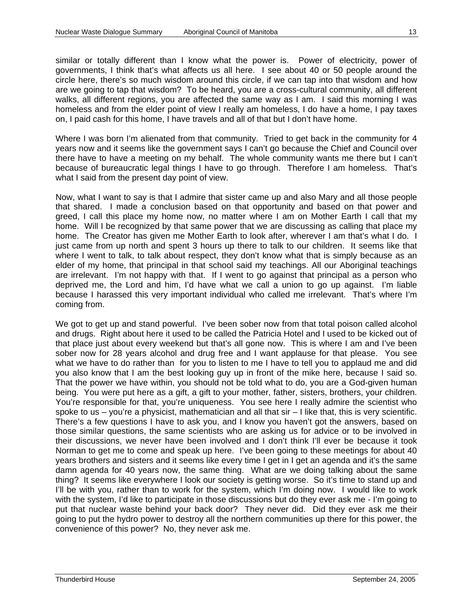similar or totally different than I know what the power is. Power of electricity, power of governments, I think that's what affects us all here. I see about 40 or 50 people around the circle here, there's so much wisdom around this circle, if we can tap into that wisdom and how are we going to tap that wisdom? To be heard, you are a cross-cultural community, all different walks, all different regions, you are affected the same way as I am. I said this morning I was homeless and from the elder point of view I really am homeless, I do have a home, I pay taxes on, I paid cash for this home, I have travels and all of that but I don't have home.

Where I was born I'm alienated from that community. Tried to get back in the community for 4 years now and it seems like the government says I can't go because the Chief and Council over there have to have a meeting on my behalf. The whole community wants me there but I can't because of bureaucratic legal things I have to go through. Therefore I am homeless. That's what I said from the present day point of view.

Now, what I want to say is that I admire that sister came up and also Mary and all those people that shared. I made a conclusion based on that opportunity and based on that power and greed, I call this place my home now, no matter where I am on Mother Earth I call that my home. Will I be recognized by that same power that we are discussing as calling that place my home. The Creator has given me Mother Earth to look after, wherever I am that's what I do. I just came from up north and spent 3 hours up there to talk to our children. It seems like that where I went to talk, to talk about respect, they don't know what that is simply because as an elder of my home, that principal in that school said my teachings. All our Aboriginal teachings are irrelevant. I'm not happy with that. If I went to go against that principal as a person who deprived me, the Lord and him, I'd have what we call a union to go up against. I'm liable because I harassed this very important individual who called me irrelevant. That's where I'm coming from.

We got to get up and stand powerful. I've been sober now from that total poison called alcohol and drugs. Right about here it used to be called the Patricia Hotel and I used to be kicked out of that place just about every weekend but that's all gone now. This is where I am and I've been sober now for 28 years alcohol and drug free and I want applause for that please. You see what we have to do rather than for you to listen to me I have to tell you to applaud me and did you also know that I am the best looking guy up in front of the mike here, because I said so. That the power we have within, you should not be told what to do, you are a God-given human being. You were put here as a gift, a gift to your mother, father, sisters, brothers, your children. You're responsible for that, you're uniqueness. You see here I really admire the scientist who spoke to us  $-$  you're a physicist, mathematician and all that  $\sin - 1$  like that, this is very scientific. There's a few questions I have to ask you, and I know you haven't got the answers, based on those similar questions, the same scientists who are asking us for advice or to be involved in their discussions, we never have been involved and I don't think I'll ever be because it took Norman to get me to come and speak up here. I've been going to these meetings for about 40 years brothers and sisters and it seems like every time I get in I get an agenda and it's the same damn agenda for 40 years now, the same thing. What are we doing talking about the same thing? It seems like everywhere I look our society is getting worse. So it's time to stand up and I'll be with you, rather than to work for the system, which I'm doing now. I would like to work with the system, I'd like to participate in those discussions but do they ever ask me - I'm going to put that nuclear waste behind your back door? They never did. Did they ever ask me their going to put the hydro power to destroy all the northern communities up there for this power, the convenience of this power? No, they never ask me.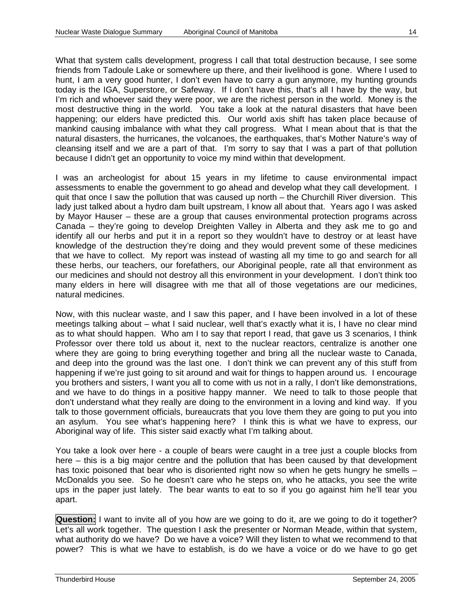What that system calls development, progress I call that total destruction because, I see some friends from Tadoule Lake or somewhere up there, and their livelihood is gone. Where I used to hunt, I am a very good hunter, I don't even have to carry a gun anymore, my hunting grounds today is the IGA, Superstore, or Safeway. If I don't have this, that's all I have by the way, but I'm rich and whoever said they were poor, we are the richest person in the world. Money is the most destructive thing in the world. You take a look at the natural disasters that have been happening; our elders have predicted this. Our world axis shift has taken place because of mankind causing imbalance with what they call progress. What I mean about that is that the natural disasters, the hurricanes, the volcanoes, the earthquakes, that's Mother Nature's way of cleansing itself and we are a part of that. I'm sorry to say that I was a part of that pollution because I didn't get an opportunity to voice my mind within that development.

I was an archeologist for about 15 years in my lifetime to cause environmental impact assessments to enable the government to go ahead and develop what they call development. I quit that once I saw the pollution that was caused up north – the Churchill River diversion. This lady just talked about a hydro dam built upstream, I know all about that. Years ago I was asked by Mayor Hauser – these are a group that causes environmental protection programs across Canada – they're going to develop Dreighten Valley in Alberta and they ask me to go and identify all our herbs and put it in a report so they wouldn't have to destroy or at least have knowledge of the destruction they're doing and they would prevent some of these medicines that we have to collect. My report was instead of wasting all my time to go and search for all these herbs, our teachers, our forefathers, our Aboriginal people, rate all that environment as our medicines and should not destroy all this environment in your development. I don't think too many elders in here will disagree with me that all of those vegetations are our medicines, natural medicines.

Now, with this nuclear waste, and I saw this paper, and I have been involved in a lot of these meetings talking about – what I said nuclear, well that's exactly what it is, I have no clear mind as to what should happen. Who am I to say that report I read, that gave us 3 scenarios, I think Professor over there told us about it, next to the nuclear reactors, centralize is another one where they are going to bring everything together and bring all the nuclear waste to Canada, and deep into the ground was the last one. I don't think we can prevent any of this stuff from happening if we're just going to sit around and wait for things to happen around us. I encourage you brothers and sisters, I want you all to come with us not in a rally, I don't like demonstrations, and we have to do things in a positive happy manner. We need to talk to those people that don't understand what they really are doing to the environment in a loving and kind way. If you talk to those government officials, bureaucrats that you love them they are going to put you into an asylum. You see what's happening here? I think this is what we have to express, our Aboriginal way of life. This sister said exactly what I'm talking about.

You take a look over here - a couple of bears were caught in a tree just a couple blocks from here – this is a big major centre and the pollution that has been caused by that development has toxic poisoned that bear who is disoriented right now so when he gets hungry he smells -McDonalds you see. So he doesn't care who he steps on, who he attacks, you see the write ups in the paper just lately. The bear wants to eat to so if you go against him he'll tear you apart.

**Question:** I want to invite all of you how are we going to do it, are we going to do it together? Let's all work together. The question I ask the presenter or Norman Meade, within that system, what authority do we have? Do we have a voice? Will they listen to what we recommend to that power? This is what we have to establish, is do we have a voice or do we have to go get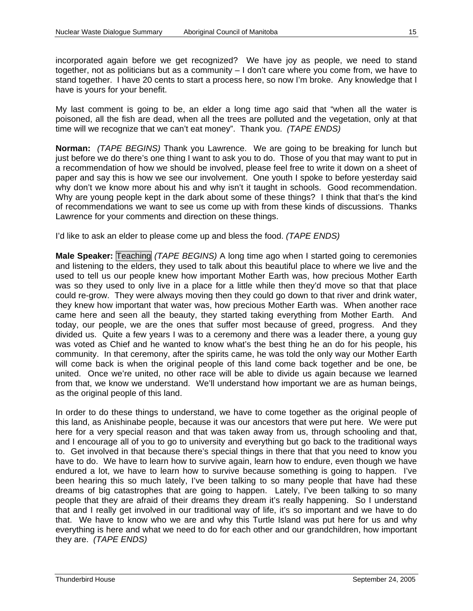incorporated again before we get recognized? We have joy as people, we need to stand together, not as politicians but as a community – I don't care where you come from, we have to stand together. I have 20 cents to start a process here, so now I'm broke. Any knowledge that I have is yours for your benefit.

My last comment is going to be, an elder a long time ago said that "when all the water is poisoned, all the fish are dead, when all the trees are polluted and the vegetation, only at that time will we recognize that we can't eat money". Thank you. *(TAPE ENDS)*

**Norman:** *(TAPE BEGINS)* Thank you Lawrence. We are going to be breaking for lunch but just before we do there's one thing I want to ask you to do. Those of you that may want to put in a recommendation of how we should be involved, please feel free to write it down on a sheet of paper and say this is how we see our involvement. One youth I spoke to before yesterday said why don't we know more about his and why isn't it taught in schools. Good recommendation. Why are young people kept in the dark about some of these things? I think that that's the kind of recommendations we want to see us come up with from these kinds of discussions. Thanks Lawrence for your comments and direction on these things.

I'd like to ask an elder to please come up and bless the food. *(TAPE ENDS)*

**Male Speaker:** Teaching *(TAPE BEGINS)* A long time ago when I started going to ceremonies and listening to the elders, they used to talk about this beautiful place to where we live and the used to tell us our people knew how important Mother Earth was, how precious Mother Earth was so they used to only live in a place for a little while then they'd move so that that place could re-grow. They were always moving then they could go down to that river and drink water, they knew how important that water was, how precious Mother Earth was. When another race came here and seen all the beauty, they started taking everything from Mother Earth. And today, our people, we are the ones that suffer most because of greed, progress. And they divided us. Quite a few years I was to a ceremony and there was a leader there, a young guy was voted as Chief and he wanted to know what's the best thing he an do for his people, his community. In that ceremony, after the spirits came, he was told the only way our Mother Earth will come back is when the original people of this land come back together and be one, be united. Once we're united, no other race will be able to divide us again because we learned from that, we know we understand. We'll understand how important we are as human beings, as the original people of this land.

In order to do these things to understand, we have to come together as the original people of this land, as Anishinabe people, because it was our ancestors that were put here. We were put here for a very special reason and that was taken away from us, through schooling and that, and I encourage all of you to go to university and everything but go back to the traditional ways to. Get involved in that because there's special things in there that that you need to know you have to do. We have to learn how to survive again, learn how to endure, even though we have endured a lot, we have to learn how to survive because something is going to happen. I've been hearing this so much lately, I've been talking to so many people that have had these dreams of big catastrophes that are going to happen. Lately, I've been talking to so many people that they are afraid of their dreams they dream it's really happening. So I understand that and I really get involved in our traditional way of life, it's so important and we have to do that. We have to know who we are and why this Turtle Island was put here for us and why everything is here and what we need to do for each other and our grandchildren, how important they are. *(TAPE ENDS)*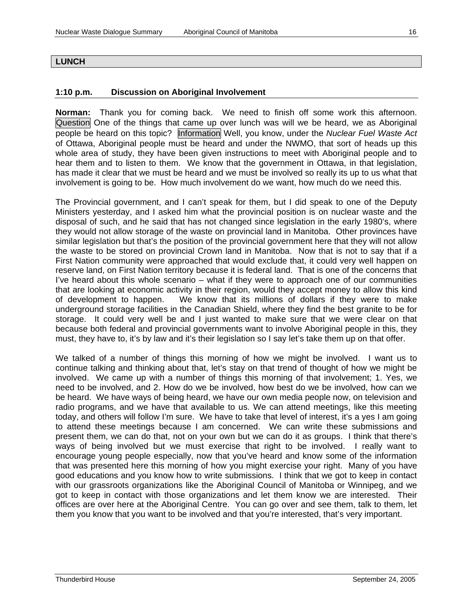#### **LUNCH**

#### **1:10 p.m. Discussion on Aboriginal Involvement**

**Norman:** Thank you for coming back. We need to finish off some work this afternoon. Question One of the things that came up over lunch was will we be heard, we as Aboriginal people be heard on this topic? Information Well, you know, under the *Nuclear Fuel Waste Act* of Ottawa, Aboriginal people must be heard and under the NWMO, that sort of heads up this whole area of study, they have been given instructions to meet with Aboriginal people and to hear them and to listen to them. We know that the government in Ottawa, in that legislation, has made it clear that we must be heard and we must be involved so really its up to us what that involvement is going to be. How much involvement do we want, how much do we need this.

The Provincial government, and I can't speak for them, but I did speak to one of the Deputy Ministers yesterday, and I asked him what the provincial position is on nuclear waste and the disposal of such, and he said that has not changed since legislation in the early 1980's, where they would not allow storage of the waste on provincial land in Manitoba. Other provinces have similar legislation but that's the position of the provincial government here that they will not allow the waste to be stored on provincial Crown land in Manitoba. Now that is not to say that if a First Nation community were approached that would exclude that, it could very well happen on reserve land, on First Nation territory because it is federal land. That is one of the concerns that I've heard about this whole scenario – what if they were to approach one of our communities that are looking at economic activity in their region, would they accept money to allow this kind of development to happen. We know that its millions of dollars if they were to make underground storage facilities in the Canadian Shield, where they find the best granite to be for storage. It could very well be and I just wanted to make sure that we were clear on that because both federal and provincial governments want to involve Aboriginal people in this, they must, they have to, it's by law and it's their legislation so I say let's take them up on that offer.

We talked of a number of things this morning of how we might be involved. I want us to continue talking and thinking about that, let's stay on that trend of thought of how we might be involved. We came up with a number of things this morning of that involvement; 1. Yes, we need to be involved, and 2. How do we be involved, how best do we be involved, how can we be heard. We have ways of being heard, we have our own media people now, on television and radio programs, and we have that available to us. We can attend meetings, like this meeting today, and others will follow I'm sure. We have to take that level of interest, it's a yes I am going to attend these meetings because I am concerned. We can write these submissions and present them, we can do that, not on your own but we can do it as groups. I think that there's ways of being involved but we must exercise that right to be involved. I really want to encourage young people especially, now that you've heard and know some of the information that was presented here this morning of how you might exercise your right. Many of you have good educations and you know how to write submissions. I think that we got to keep in contact with our grassroots organizations like the Aboriginal Council of Manitoba or Winnipeg, and we got to keep in contact with those organizations and let them know we are interested. Their offices are over here at the Aboriginal Centre. You can go over and see them, talk to them, let them you know that you want to be involved and that you're interested, that's very important.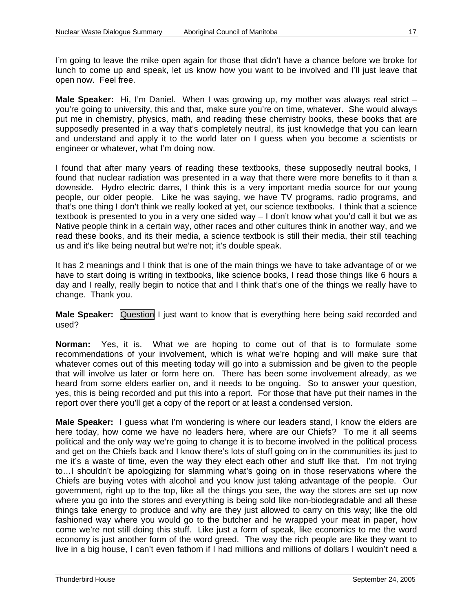I'm going to leave the mike open again for those that didn't have a chance before we broke for lunch to come up and speak, let us know how you want to be involved and I'll just leave that open now. Feel free.

**Male Speaker:** Hi, I'm Daniel. When I was growing up, my mother was always real strict – you're going to university, this and that, make sure you're on time, whatever. She would always put me in chemistry, physics, math, and reading these chemistry books, these books that are supposedly presented in a way that's completely neutral, its just knowledge that you can learn and understand and apply it to the world later on I guess when you become a scientists or engineer or whatever, what I'm doing now.

I found that after many years of reading these textbooks, these supposedly neutral books, I found that nuclear radiation was presented in a way that there were more benefits to it than a downside. Hydro electric dams, I think this is a very important media source for our young people, our older people. Like he was saying, we have TV programs, radio programs, and that's one thing I don't think we really looked at yet, our science textbooks. I think that a science textbook is presented to you in a very one sided way – I don't know what you'd call it but we as Native people think in a certain way, other races and other cultures think in another way, and we read these books, and its their media, a science textbook is still their media, their still teaching us and it's like being neutral but we're not; it's double speak.

It has 2 meanings and I think that is one of the main things we have to take advantage of or we have to start doing is writing in textbooks, like science books, I read those things like 6 hours a day and I really, really begin to notice that and I think that's one of the things we really have to change. Thank you.

**Male Speaker:** Question I just want to know that is everything here being said recorded and used?

**Norman:** Yes, it is. What we are hoping to come out of that is to formulate some recommendations of your involvement, which is what we're hoping and will make sure that whatever comes out of this meeting today will go into a submission and be given to the people that will involve us later or form here on. There has been some involvement already, as we heard from some elders earlier on, and it needs to be ongoing. So to answer your question, yes, this is being recorded and put this into a report. For those that have put their names in the report over there you'll get a copy of the report or at least a condensed version.

**Male Speaker:** I guess what I'm wondering is where our leaders stand, I know the elders are here today, how come we have no leaders here, where are our Chiefs? To me it all seems political and the only way we're going to change it is to become involved in the political process and get on the Chiefs back and I know there's lots of stuff going on in the communities its just to me it's a waste of time, even the way they elect each other and stuff like that. I'm not trying to…I shouldn't be apologizing for slamming what's going on in those reservations where the Chiefs are buying votes with alcohol and you know just taking advantage of the people. Our government, right up to the top, like all the things you see, the way the stores are set up now where you go into the stores and everything is being sold like non-biodegradable and all these things take energy to produce and why are they just allowed to carry on this way; like the old fashioned way where you would go to the butcher and he wrapped your meat in paper, how come we're not still doing this stuff. Like just a form of speak, like economics to me the word economy is just another form of the word greed. The way the rich people are like they want to live in a big house, I can't even fathom if I had millions and millions of dollars I wouldn't need a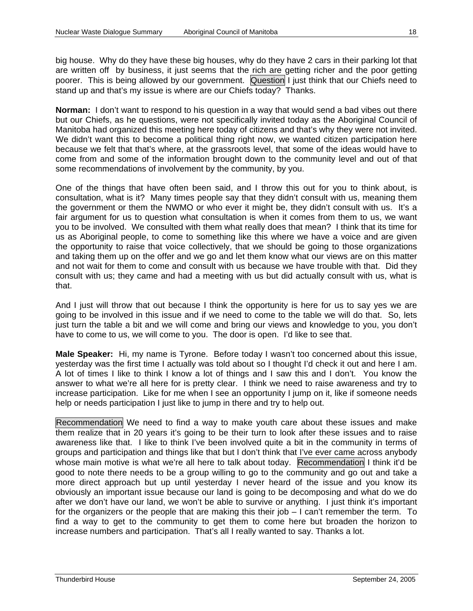big house. Why do they have these big houses, why do they have 2 cars in their parking lot that are written off by business, it just seems that the rich are getting richer and the poor getting poorer. This is being allowed by our government. Question I just think that our Chiefs need to stand up and that's my issue is where are our Chiefs today? Thanks.

**Norman:** I don't want to respond to his question in a way that would send a bad vibes out there but our Chiefs, as he questions, were not specifically invited today as the Aboriginal Council of Manitoba had organized this meeting here today of citizens and that's why they were not invited. We didn't want this to become a political thing right now, we wanted citizen participation here because we felt that that's where, at the grassroots level, that some of the ideas would have to come from and some of the information brought down to the community level and out of that some recommendations of involvement by the community, by you.

One of the things that have often been said, and I throw this out for you to think about, is consultation, what is it? Many times people say that they didn't consult with us, meaning them the government or them the NWMO or who ever it might be, they didn't consult with us. It's a fair argument for us to question what consultation is when it comes from them to us, we want you to be involved. We consulted with them what really does that mean? I think that its time for us as Aboriginal people, to come to something like this where we have a voice and are given the opportunity to raise that voice collectively, that we should be going to those organizations and taking them up on the offer and we go and let them know what our views are on this matter and not wait for them to come and consult with us because we have trouble with that. Did they consult with us; they came and had a meeting with us but did actually consult with us, what is that.

And I just will throw that out because I think the opportunity is here for us to say yes we are going to be involved in this issue and if we need to come to the table we will do that. So, lets just turn the table a bit and we will come and bring our views and knowledge to you, you don't have to come to us, we will come to you. The door is open. I'd like to see that.

**Male Speaker:** Hi, my name is Tyrone. Before today I wasn't too concerned about this issue, yesterday was the first time I actually was told about so I thought I'd check it out and here I am. A lot of times I like to think I know a lot of things and I saw this and I don't. You know the answer to what we're all here for is pretty clear. I think we need to raise awareness and try to increase participation. Like for me when I see an opportunity I jump on it, like if someone needs help or needs participation I just like to jump in there and try to help out.

Recommendation We need to find a way to make youth care about these issues and make them realize that in 20 years it's going to be their turn to look after these issues and to raise awareness like that. I like to think I've been involved quite a bit in the community in terms of groups and participation and things like that but I don't think that I've ever came across anybody whose main motive is what we're all here to talk about today. Recommendation I think it'd be good to note there needs to be a group willing to go to the community and go out and take a more direct approach but up until yesterday I never heard of the issue and you know its obviously an important issue because our land is going to be decomposing and what do we do after we don't have our land, we won't be able to survive or anything. I just think it's important for the organizers or the people that are making this their job – I can't remember the term. To find a way to get to the community to get them to come here but broaden the horizon to increase numbers and participation. That's all I really wanted to say. Thanks a lot.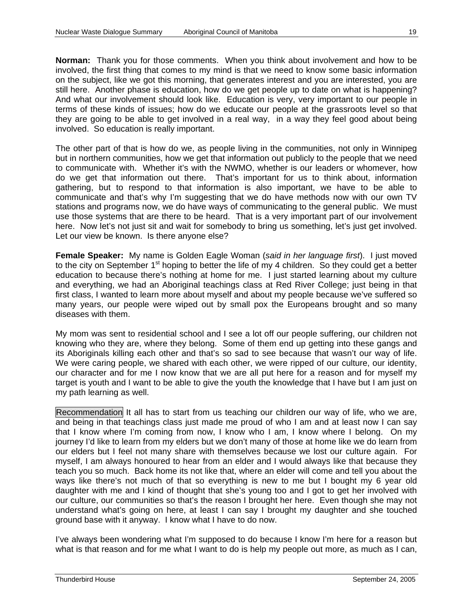**Norman:** Thank you for those comments. When you think about involvement and how to be involved, the first thing that comes to my mind is that we need to know some basic information on the subject, like we got this morning, that generates interest and you are interested, you are still here. Another phase is education, how do we get people up to date on what is happening? And what our involvement should look like. Education is very, very important to our people in terms of these kinds of issues; how do we educate our people at the grassroots level so that they are going to be able to get involved in a real way, in a way they feel good about being involved. So education is really important.

The other part of that is how do we, as people living in the communities, not only in Winnipeg but in northern communities, how we get that information out publicly to the people that we need to communicate with. Whether it's with the NWMO, whether is our leaders or whomever, how do we get that information out there. That's important for us to think about, information gathering, but to respond to that information is also important, we have to be able to communicate and that's why I'm suggesting that we do have methods now with our own TV stations and programs now, we do have ways of communicating to the general public. We must use those systems that are there to be heard. That is a very important part of our involvement here. Now let's not just sit and wait for somebody to bring us something, let's just get involved. Let our view be known. Is there anyone else?

**Female Speaker:** My name is Golden Eagle Woman (*said in her language first*). I just moved to the city on September  $1<sup>st</sup>$  hoping to better the life of my 4 children. So they could get a better education to because there's nothing at home for me. I just started learning about my culture and everything, we had an Aboriginal teachings class at Red River College; just being in that first class, I wanted to learn more about myself and about my people because we've suffered so many years, our people were wiped out by small pox the Europeans brought and so many diseases with them.

My mom was sent to residential school and I see a lot off our people suffering, our children not knowing who they are, where they belong. Some of them end up getting into these gangs and its Aboriginals killing each other and that's so sad to see because that wasn't our way of life. We were caring people, we shared with each other, we were ripped of our culture, our identity, our character and for me I now know that we are all put here for a reason and for myself my target is youth and I want to be able to give the youth the knowledge that I have but I am just on my path learning as well.

Recommendation It all has to start from us teaching our children our way of life, who we are, and being in that teachings class just made me proud of who I am and at least now I can say that I know where I'm coming from now, I know who I am, I know where I belong. On my journey I'd like to learn from my elders but we don't many of those at home like we do learn from our elders but I feel not many share with themselves because we lost our culture again. For myself, I am always honoured to hear from an elder and I would always like that because they teach you so much. Back home its not like that, where an elder will come and tell you about the ways like there's not much of that so everything is new to me but I bought my 6 year old daughter with me and I kind of thought that she's young too and I got to get her involved with our culture, our communities so that's the reason I brought her here. Even though she may not understand what's going on here, at least I can say I brought my daughter and she touched ground base with it anyway. I know what I have to do now.

I've always been wondering what I'm supposed to do because I know I'm here for a reason but what is that reason and for me what I want to do is help my people out more, as much as I can,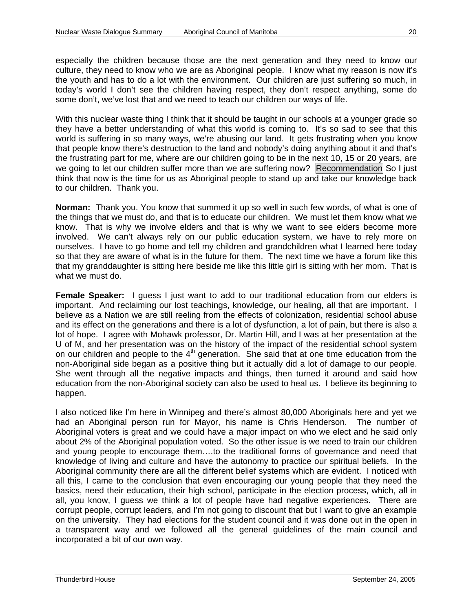especially the children because those are the next generation and they need to know our culture, they need to know who we are as Aboriginal people. I know what my reason is now it's the youth and has to do a lot with the environment. Our children are just suffering so much, in today's world I don't see the children having respect, they don't respect anything, some do some don't, we've lost that and we need to teach our children our ways of life.

With this nuclear waste thing I think that it should be taught in our schools at a younger grade so they have a better understanding of what this world is coming to. It's so sad to see that this world is suffering in so many ways, we're abusing our land. It gets frustrating when you know that people know there's destruction to the land and nobody's doing anything about it and that's the frustrating part for me, where are our children going to be in the next 10, 15 or 20 years, are we going to let our children suffer more than we are suffering now? Recommendation So I just think that now is the time for us as Aboriginal people to stand up and take our knowledge back to our children. Thank you.

**Norman:** Thank you. You know that summed it up so well in such few words, of what is one of the things that we must do, and that is to educate our children. We must let them know what we know. That is why we involve elders and that is why we want to see elders become more involved. We can't always rely on our public education system, we have to rely more on ourselves. I have to go home and tell my children and grandchildren what I learned here today so that they are aware of what is in the future for them. The next time we have a forum like this that my granddaughter is sitting here beside me like this little girl is sitting with her mom. That is what we must do.

**Female Speaker:** I guess I just want to add to our traditional education from our elders is important. And reclaiming our lost teachings, knowledge, our healing, all that are important. I believe as a Nation we are still reeling from the effects of colonization, residential school abuse and its effect on the generations and there is a lot of dysfunction, a lot of pain, but there is also a lot of hope. I agree with Mohawk professor, Dr. Martin Hill, and I was at her presentation at the U of M, and her presentation was on the history of the impact of the residential school system on our children and people to the  $4<sup>th</sup>$  generation. She said that at one time education from the non-Aboriginal side began as a positive thing but it actually did a lot of damage to our people. She went through all the negative impacts and things, then turned it around and said how education from the non-Aboriginal society can also be used to heal us. I believe its beginning to happen.

I also noticed like I'm here in Winnipeg and there's almost 80,000 Aboriginals here and yet we had an Aboriginal person run for Mayor, his name is Chris Henderson. The number of Aboriginal voters is great and we could have a major impact on who we elect and he said only about 2% of the Aboriginal population voted. So the other issue is we need to train our children and young people to encourage them….to the traditional forms of governance and need that knowledge of living and culture and have the autonomy to practice our spiritual beliefs. In the Aboriginal community there are all the different belief systems which are evident. I noticed with all this, I came to the conclusion that even encouraging our young people that they need the basics, need their education, their high school, participate in the election process, which, all in all, you know, I guess we think a lot of people have had negative experiences. There are corrupt people, corrupt leaders, and I'm not going to discount that but I want to give an example on the university. They had elections for the student council and it was done out in the open in a transparent way and we followed all the general guidelines of the main council and incorporated a bit of our own way.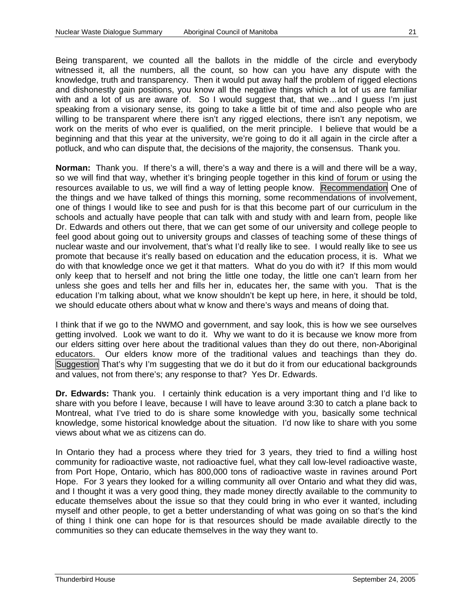Being transparent, we counted all the ballots in the middle of the circle and everybody witnessed it, all the numbers, all the count, so how can you have any dispute with the knowledge, truth and transparency. Then it would put away half the problem of rigged elections and dishonestly gain positions, you know all the negative things which a lot of us are familiar with and a lot of us are aware of. So I would suggest that, that we...and I guess I'm just speaking from a visionary sense, its going to take a little bit of time and also people who are willing to be transparent where there isn't any rigged elections, there isn't any nepotism, we work on the merits of who ever is qualified, on the merit principle. I believe that would be a beginning and that this year at the university, we're going to do it all again in the circle after a potluck, and who can dispute that, the decisions of the majority, the consensus. Thank you.

**Norman:** Thank you. If there's a will, there's a way and there is a will and there will be a way, so we will find that way, whether it's bringing people together in this kind of forum or using the resources available to us, we will find a way of letting people know. Recommendation One of the things and we have talked of things this morning, some recommendations of involvement, one of things I would like to see and push for is that this become part of our curriculum in the schools and actually have people that can talk with and study with and learn from, people like Dr. Edwards and others out there, that we can get some of our university and college people to feel good about going out to university groups and classes of teaching some of these things of nuclear waste and our involvement, that's what I'd really like to see. I would really like to see us promote that because it's really based on education and the education process, it is. What we do with that knowledge once we get it that matters. What do you do with it? If this mom would only keep that to herself and not bring the little one today, the little one can't learn from her unless she goes and tells her and fills her in, educates her, the same with you. That is the education I'm talking about, what we know shouldn't be kept up here, in here, it should be told, we should educate others about what w know and there's ways and means of doing that.

I think that if we go to the NWMO and government, and say look, this is how we see ourselves getting involved. Look we want to do it. Why we want to do it is because we know more from our elders sitting over here about the traditional values than they do out there, non-Aboriginal educators. Our elders know more of the traditional values and teachings than they do. Suggestion That's why I'm suggesting that we do it but do it from our educational backgrounds and values, not from there's; any response to that? Yes Dr. Edwards.

**Dr. Edwards:** Thank you. I certainly think education is a very important thing and I'd like to share with you before I leave, because I will have to leave around 3:30 to catch a plane back to Montreal, what I've tried to do is share some knowledge with you, basically some technical knowledge, some historical knowledge about the situation. I'd now like to share with you some views about what we as citizens can do.

In Ontario they had a process where they tried for 3 years, they tried to find a willing host community for radioactive waste, not radioactive fuel, what they call low-level radioactive waste, from Port Hope, Ontario, which has 800,000 tons of radioactive waste in ravines around Port Hope. For 3 years they looked for a willing community all over Ontario and what they did was, and I thought it was a very good thing, they made money directly available to the community to educate themselves about the issue so that they could bring in who ever it wanted, including myself and other people, to get a better understanding of what was going on so that's the kind of thing I think one can hope for is that resources should be made available directly to the communities so they can educate themselves in the way they want to.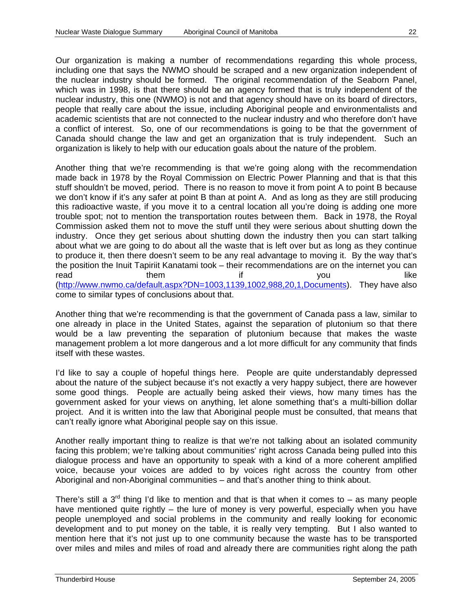Our organization is making a number of recommendations regarding this whole process, including one that says the NWMO should be scraped and a new organization independent of the nuclear industry should be formed. The original recommendation of the Seaborn Panel, which was in 1998, is that there should be an agency formed that is truly independent of the nuclear industry, this one (NWMO) is not and that agency should have on its board of directors, people that really care about the issue, including Aboriginal people and environmentalists and academic scientists that are not connected to the nuclear industry and who therefore don't have a conflict of interest. So, one of our recommendations is going to be that the government of Canada should change the law and get an organization that is truly independent. Such an organization is likely to help with our education goals about the nature of the problem.

Another thing that we're recommending is that we're going along with the recommendation made back in 1978 by the Royal Commission on Electric Power Planning and that is that this stuff shouldn't be moved, period. There is no reason to move it from point A to point B because we don't know if it's any safer at point B than at point A. And as long as they are still producing this radioactive waste, if you move it to a central location all you're doing is adding one more trouble spot; not to mention the transportation routes between them. Back in 1978, the Royal Commission asked them not to move the stuff until they were serious about shutting down the industry. Once they get serious about shutting down the industry then you can start talking about what we are going to do about all the waste that is left over but as long as they continue to produce it, then there doesn't seem to be any real advantage to moving it. By the way that's the position the Inuit Tapiriit Kanatami took – their recommendations are on the internet you can read them if you like ([http://www.nwmo.ca/default.aspx?DN=1003,1139,1002,988,20,1,Documents\)](http://www.nwmo.ca/default.aspx?DN=1003,1139,1002,988,20,1,Documents). They have also come to similar types of conclusions about that.

Another thing that we're recommending is that the government of Canada pass a law, similar to one already in place in the United States, against the separation of plutonium so that there would be a law preventing the separation of plutonium because that makes the waste management problem a lot more dangerous and a lot more difficult for any community that finds itself with these wastes.

I'd like to say a couple of hopeful things here. People are quite understandably depressed about the nature of the subject because it's not exactly a very happy subject, there are however some good things. People are actually being asked their views, how many times has the government asked for your views on anything, let alone something that's a multi-billion dollar project. And it is written into the law that Aboriginal people must be consulted, that means that can't really ignore what Aboriginal people say on this issue.

Another really important thing to realize is that we're not talking about an isolated community facing this problem; we're talking about communities' right across Canada being pulled into this dialogue process and have an opportunity to speak with a kind of a more coherent amplified voice, because your voices are added to by voices right across the country from other Aboriginal and non-Aboriginal communities – and that's another thing to think about.

There's still a  $3^{rd}$  thing I'd like to mention and that is that when it comes to – as many people have mentioned quite rightly – the lure of money is very powerful, especially when you have people unemployed and social problems in the community and really looking for economic development and to put money on the table, it is really very tempting. But I also wanted to mention here that it's not just up to one community because the waste has to be transported over miles and miles and miles of road and already there are communities right along the path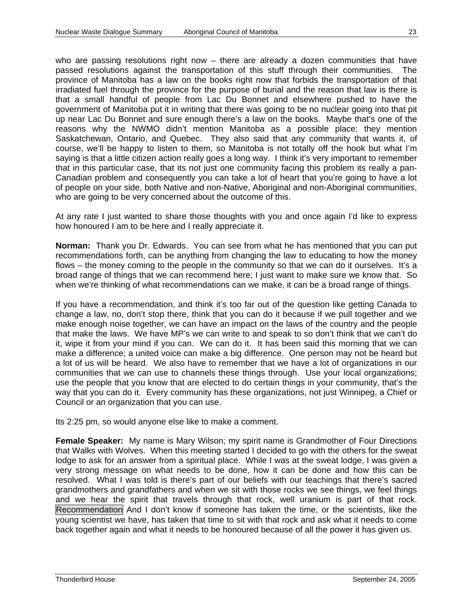who are passing resolutions right now – there are already a dozen communities that have passed resolutions against the transportation of this stuff through their communities. The province of Manitoba has a law on the books right now that forbids the transportation of that irradiated fuel through the province for the purpose of burial and the reason that law is there is that a small handful of people from Lac Du Bonnet and elsewhere pushed to have the government of Manitoba put it in writing that there was going to be no nuclear going into that pit up near Lac Du Bonnet and sure enough there's a law on the books. Maybe that's one of the reasons why the NWMO didn't mention Manitoba as a possible place; they mention Saskatchewan, Ontario, and Quebec. They also said that any community that wants it, of course, we'll be happy to listen to them, so Manitoba is not totally off the hook but what I'm saying is that a little citizen action really goes a long way. I think it's very important to remember that in this particular case, that its not just one community facing this problem its really a pan-Canadian problem and consequently you can take a lot of heart that you're going to have a lot of people on your side, both Native and non-Native, Aboriginal and non-Aboriginal communities, who are going to be very concerned about the outcome of this.

At any rate I just wanted to share those thoughts with you and once again I'd like to express how honoured I am to be here and I really appreciate it.

**Norman:** Thank you Dr. Edwards. You can see from what he has mentioned that you can put recommendations forth, can be anything from changing the law to educating to how the money flows – the money coming to the people in the community so that we can do it ourselves. It's a broad range of things that we can recommend here; I just want to make sure we know that. So when we're thinking of what recommendations can we make, it can be a broad range of things.

If you have a recommendation, and think it's too far out of the question like getting Canada to change a law, no, don't stop there, think that you can do it because if we pull together and we make enough noise together, we can have an impact on the laws of the country and the people that make the laws. We have MP's we can write to and speak to so don't think that we can't do it, wipe it from your mind if you can. We can do it. It has been said this morning that we can make a difference; a united voice can make a big difference. One person may not be heard but a lot of us will be heard. We also have to remember that we have a lot of organizations in our communities that we can use to channels these things through. Use your local organizations; use the people that you know that are elected to do certain things in your community, that's the way that you can do it. Every community has these organizations, not just Winnipeg, a Chief or Council or an organization that you can use.

Its 2:25 pm, so would anyone else like to make a comment.

**Female Speaker:** My name is Mary Wilson; my spirit name is Grandmother of Four Directions that Walks with Wolves. When this meeting started I decided to go with the others for the sweat lodge to ask for an answer from a spiritual place. While I was at the sweat lodge, I was given a very strong message on what needs to be done, how it can be done and how this can be resolved. What I was told is there's part of our beliefs with our teachings that there's sacred grandmothers and grandfathers and when we sit with those rocks we see things, we feel things and we hear the spirit that travels through that rock, well uranium is part of that rock. Recommendation And I don't know if someone has taken the time, or the scientists, like the young scientist we have, has taken that time to sit with that rock and ask what it needs to come back together again and what it needs to be honoured because of all the power it has given us.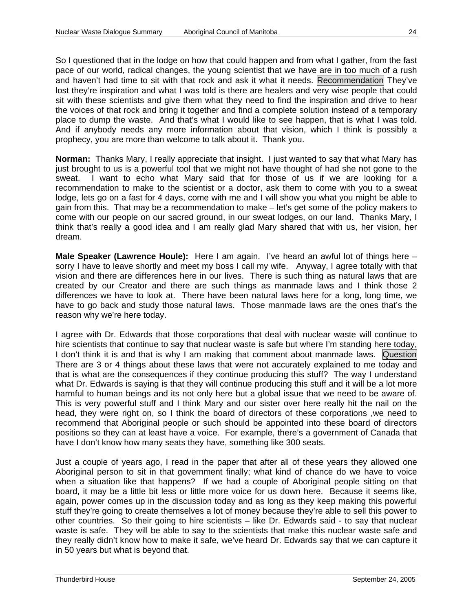So I questioned that in the lodge on how that could happen and from what I gather, from the fast pace of our world, radical changes, the young scientist that we have are in too much of a rush and haven't had time to sit with that rock and ask it what it needs. Recommendation They've lost they're inspiration and what I was told is there are healers and very wise people that could sit with these scientists and give them what they need to find the inspiration and drive to hear the voices of that rock and bring it together and find a complete solution instead of a temporary place to dump the waste. And that's what I would like to see happen, that is what I was told. And if anybody needs any more information about that vision, which I think is possibly a prophecy, you are more than welcome to talk about it. Thank you.

**Norman:** Thanks Mary, I really appreciate that insight. I just wanted to say that what Mary has just brought to us is a powerful tool that we might not have thought of had she not gone to the sweat. I want to echo what Mary said that for those of us if we are looking for a recommendation to make to the scientist or a doctor, ask them to come with you to a sweat lodge, lets go on a fast for 4 days, come with me and I will show you what you might be able to gain from this. That may be a recommendation to make – let's get some of the policy makers to come with our people on our sacred ground, in our sweat lodges, on our land. Thanks Mary, I think that's really a good idea and I am really glad Mary shared that with us, her vision, her dream.

**Male Speaker (Lawrence Houle):** Here I am again. I've heard an awful lot of things here – sorry I have to leave shortly and meet my boss I call my wife. Anyway, I agree totally with that vision and there are differences here in our lives. There is such thing as natural laws that are created by our Creator and there are such things as manmade laws and I think those 2 differences we have to look at. There have been natural laws here for a long, long time, we have to go back and study those natural laws. Those manmade laws are the ones that's the reason why we're here today.

I agree with Dr. Edwards that those corporations that deal with nuclear waste will continue to hire scientists that continue to say that nuclear waste is safe but where I'm standing here today, I don't think it is and that is why I am making that comment about manmade laws. Question There are 3 or 4 things about these laws that were not accurately explained to me today and that is what are the consequences if they continue producing this stuff? The way I understand what Dr. Edwards is saying is that they will continue producing this stuff and it will be a lot more harmful to human beings and its not only here but a global issue that we need to be aware of. This is very powerful stuff and I think Mary and our sister over here really hit the nail on the head, they were right on, so I think the board of directors of these corporations , we need to recommend that Aboriginal people or such should be appointed into these board of directors positions so they can at least have a voice. For example, there's a government of Canada that have I don't know how many seats they have, something like 300 seats.

Just a couple of years ago, I read in the paper that after all of these years they allowed one Aboriginal person to sit in that government finally; what kind of chance do we have to voice when a situation like that happens? If we had a couple of Aboriginal people sitting on that board, it may be a little bit less or little more voice for us down here. Because it seems like, again, power comes up in the discussion today and as long as they keep making this powerful stuff they're going to create themselves a lot of money because they're able to sell this power to other countries. So their going to hire scientists – like Dr. Edwards said - to say that nuclear waste is safe. They will be able to say to the scientists that make this nuclear waste safe and they really didn't know how to make it safe, we've heard Dr. Edwards say that we can capture it in 50 years but what is beyond that.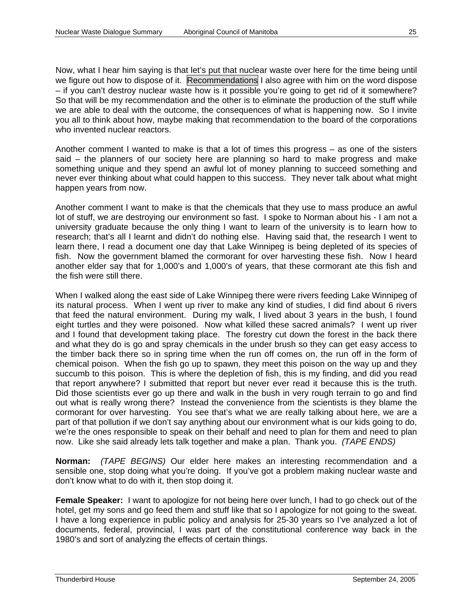Now, what I hear him saying is that let's put that nuclear waste over here for the time being until we figure out how to dispose of it. Recommendations I also agree with him on the word dispose – if you can't destroy nuclear waste how is it possible you're going to get rid of it somewhere? So that will be my recommendation and the other is to eliminate the production of the stuff while we are able to deal with the outcome, the consequences of what is happening now. So I invite you all to think about how, maybe making that recommendation to the board of the corporations who invented nuclear reactors.

Another comment I wanted to make is that a lot of times this progress – as one of the sisters said – the planners of our society here are planning so hard to make progress and make something unique and they spend an awful lot of money planning to succeed something and never ever thinking about what could happen to this success. They never talk about what might happen years from now.

Another comment I want to make is that the chemicals that they use to mass produce an awful lot of stuff, we are destroying our environment so fast. I spoke to Norman about his - I am not a university graduate because the only thing I want to learn of the university is to learn how to research; that's all I learnt and didn't do nothing else. Having said that, the research I went to learn there, I read a document one day that Lake Winnipeg is being depleted of its species of fish. Now the government blamed the cormorant for over harvesting these fish. Now I heard another elder say that for 1,000's and 1,000's of years, that these cormorant ate this fish and the fish were still there.

When I walked along the east side of Lake Winnipeg there were rivers feeding Lake Winnipeg of its natural process. When I went up river to make any kind of studies, I did find about 6 rivers that feed the natural environment. During my walk, I lived about 3 years in the bush, I found eight turtles and they were poisoned. Now what killed these sacred animals? I went up river and I found that development taking place. The forestry cut down the forest in the back there and what they do is go and spray chemicals in the under brush so they can get easy access to the timber back there so in spring time when the run off comes on, the run off in the form of chemical poison. When the fish go up to spawn, they meet this poison on the way up and they succumb to this poison. This is where the depletion of fish, this is my finding, and did you read that report anywhere? I submitted that report but never ever read it because this is the truth. Did those scientists ever go up there and walk in the bush in very rough terrain to go and find out what is really wrong there? Instead the convenience from the scientists is they blame the cormorant for over harvesting. You see that's what we are really talking about here, we are a part of that pollution if we don't say anything about our environment what is our kids going to do, we're the ones responsible to speak on their behalf and need to plan for them and need to plan now. Like she said already lets talk together and make a plan. Thank you. *(TAPE ENDS)* 

**Norman:** *(TAPE BEGINS)* Our elder here makes an interesting recommendation and a sensible one, stop doing what you're doing. If you've got a problem making nuclear waste and don't know what to do with it, then stop doing it.

**Female Speaker:** I want to apologize for not being here over lunch, I had to go check out of the hotel, get my sons and go feed them and stuff like that so I apologize for not going to the sweat. I have a long experience in public policy and analysis for 25-30 years so I've analyzed a lot of documents, federal, provincial, I was part of the constitutional conference way back in the 1980's and sort of analyzing the effects of certain things.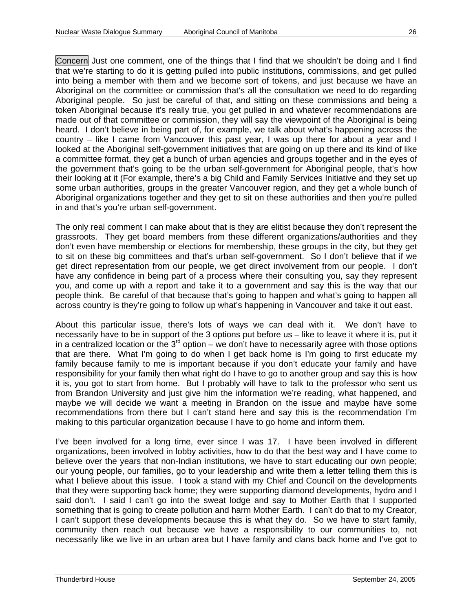Concern Just one comment, one of the things that I find that we shouldn't be doing and I find that we're starting to do it is getting pulled into public institutions, commissions, and get pulled into being a member with them and we become sort of tokens, and just because we have an Aboriginal on the committee or commission that's all the consultation we need to do regarding Aboriginal people. So just be careful of that, and sitting on these commissions and being a token Aboriginal because it's really true, you get pulled in and whatever recommendations are made out of that committee or commission, they will say the viewpoint of the Aboriginal is being heard. I don't believe in being part of, for example, we talk about what's happening across the country – like I came from Vancouver this past year, I was up there for about a year and I looked at the Aboriginal self-government initiatives that are going on up there and its kind of like a committee format, they get a bunch of urban agencies and groups together and in the eyes of the government that's going to be the urban self-government for Aboriginal people, that's how their looking at it (For example, there's a big Child and Family Services Initiative and they set up some urban authorities, groups in the greater Vancouver region, and they get a whole bunch of Aboriginal organizations together and they get to sit on these authorities and then you're pulled in and that's you're urban self-government.

The only real comment I can make about that is they are elitist because they don't represent the grassroots. They get board members from these different organizations/authorities and they don't even have membership or elections for membership, these groups in the city, but they get to sit on these big committees and that's urban self-government. So I don't believe that if we get direct representation from our people, we get direct involvement from our people. I don't have any confidence in being part of a process where their consulting you, say they represent you, and come up with a report and take it to a government and say this is the way that our people think. Be careful of that because that's going to happen and what's going to happen all across country is they're going to follow up what's happening in Vancouver and take it out east.

About this particular issue, there's lots of ways we can deal with it. We don't have to necessarily have to be in support of the 3 options put before us – like to leave it where it is, put it in a centralized location or the  $3<sup>rd</sup>$  option – we don't have to necessarily agree with those options that are there. What I'm going to do when I get back home is I'm going to first educate my family because family to me is important because if you don't educate your family and have responsibility for your family then what right do I have to go to another group and say this is how it is, you got to start from home. But I probably will have to talk to the professor who sent us from Brandon University and just give him the information we're reading, what happened, and maybe we will decide we want a meeting in Brandon on the issue and maybe have some recommendations from there but I can't stand here and say this is the recommendation I'm making to this particular organization because I have to go home and inform them.

I've been involved for a long time, ever since I was 17. I have been involved in different organizations, been involved in lobby activities, how to do that the best way and I have come to believe over the years that non-Indian institutions, we have to start educating our own people; our young people, our families, go to your leadership and write them a letter telling them this is what I believe about this issue. I took a stand with my Chief and Council on the developments that they were supporting back home; they were supporting diamond developments, hydro and I said don't. I said I can't go into the sweat lodge and say to Mother Earth that I supported something that is going to create pollution and harm Mother Earth. I can't do that to my Creator, I can't support these developments because this is what they do. So we have to start family, community then reach out because we have a responsibility to our communities to, not necessarily like we live in an urban area but I have family and clans back home and I've got to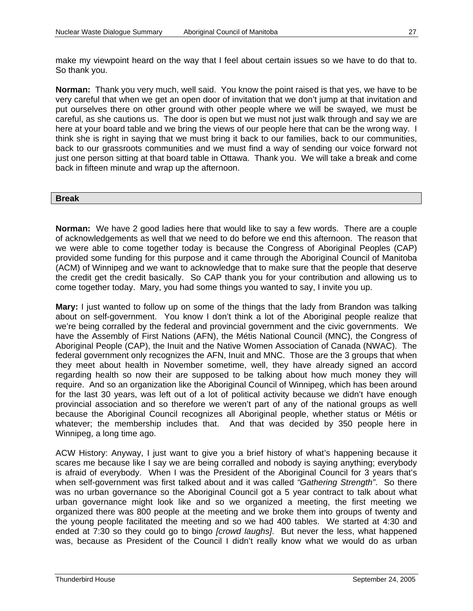make my viewpoint heard on the way that I feel about certain issues so we have to do that to. So thank you.

**Norman:** Thank you very much, well said. You know the point raised is that yes, we have to be very careful that when we get an open door of invitation that we don't jump at that invitation and put ourselves there on other ground with other people where we will be swayed, we must be careful, as she cautions us. The door is open but we must not just walk through and say we are here at your board table and we bring the views of our people here that can be the wrong way. I think she is right in saying that we must bring it back to our families, back to our communities, back to our grassroots communities and we must find a way of sending our voice forward not just one person sitting at that board table in Ottawa. Thank you. We will take a break and come back in fifteen minute and wrap up the afternoon.

#### **Break**

**Norman:** We have 2 good ladies here that would like to say a few words. There are a couple of acknowledgements as well that we need to do before we end this afternoon. The reason that we were able to come together today is because the Congress of Aboriginal Peoples (CAP) provided some funding for this purpose and it came through the Aboriginal Council of Manitoba (ACM) of Winnipeg and we want to acknowledge that to make sure that the people that deserve the credit get the credit basically. So CAP thank you for your contribution and allowing us to come together today. Mary, you had some things you wanted to say, I invite you up.

**Mary:** I just wanted to follow up on some of the things that the lady from Brandon was talking about on self-government. You know I don't think a lot of the Aboriginal people realize that we're being corralled by the federal and provincial government and the civic governments. We have the Assembly of First Nations (AFN), the Métis National Council (MNC), the Congress of Aboriginal People (CAP), the Inuit and the Native Women Association of Canada (NWAC). The federal government only recognizes the AFN, Inuit and MNC. Those are the 3 groups that when they meet about health in November sometime, well, they have already signed an accord regarding health so now their are supposed to be talking about how much money they will require. And so an organization like the Aboriginal Council of Winnipeg, which has been around for the last 30 years, was left out of a lot of political activity because we didn't have enough provincial association and so therefore we weren't part of any of the national groups as well because the Aboriginal Council recognizes all Aboriginal people, whether status or Métis or whatever; the membership includes that. And that was decided by 350 people here in Winnipeg, a long time ago.

ACW History: Anyway, I just want to give you a brief history of what's happening because it scares me because like I say we are being corralled and nobody is saying anything; everybody is afraid of everybody. When I was the President of the Aboriginal Council for 3 years that's when self-government was first talked about and it was called *"Gathering Strength"*. So there was no urban governance so the Aboriginal Council got a 5 year contract to talk about what urban governance might look like and so we organized a meeting, the first meeting we organized there was 800 people at the meeting and we broke them into groups of twenty and the young people facilitated the meeting and so we had 400 tables. We started at 4:30 and ended at 7:30 so they could go to bingo *[crowd laughs]*. But never the less, what happened was, because as President of the Council I didn't really know what we would do as urban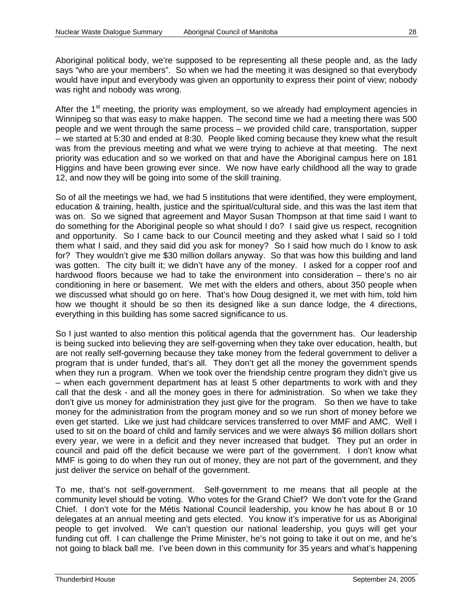Aboriginal political body, we're supposed to be representing all these people and, as the lady says "who are your members". So when we had the meeting it was designed so that everybody would have input and everybody was given an opportunity to express their point of view; nobody was right and nobody was wrong.

After the  $1<sup>st</sup>$  meeting, the priority was employment, so we already had employment agencies in Winnipeg so that was easy to make happen. The second time we had a meeting there was 500 people and we went through the same process – we provided child care, transportation, supper – we started at 5:30 and ended at 8:30. People liked coming because they knew what the result was from the previous meeting and what we were trying to achieve at that meeting. The next priority was education and so we worked on that and have the Aboriginal campus here on 181 Higgins and have been growing ever since. We now have early childhood all the way to grade 12, and now they will be going into some of the skill training.

So of all the meetings we had, we had 5 institutions that were identified, they were employment, education & training, health, justice and the spiritual/cultural side, and this was the last item that was on. So we signed that agreement and Mayor Susan Thompson at that time said I want to do something for the Aboriginal people so what should I do? I said give us respect, recognition and opportunity. So I came back to our Council meeting and they asked what I said so I told them what I said, and they said did you ask for money? So I said how much do I know to ask for? They wouldn't give me \$30 million dollars anyway. So that was how this building and land was gotten. The city built it; we didn't have any of the money. I asked for a copper roof and hardwood floors because we had to take the environment into consideration – there's no air conditioning in here or basement. We met with the elders and others, about 350 people when we discussed what should go on here. That's how Doug designed it, we met with him, told him how we thought it should be so then its designed like a sun dance lodge, the 4 directions, everything in this building has some sacred significance to us.

So I just wanted to also mention this political agenda that the government has. Our leadership is being sucked into believing they are self-governing when they take over education, health, but are not really self-governing because they take money from the federal government to deliver a program that is under funded, that's all. They don't get all the money the government spends when they run a program. When we took over the friendship centre program they didn't give us – when each government department has at least 5 other departments to work with and they call that the desk - and all the money goes in there for administration. So when we take they don't give us money for administration they just give for the program. So then we have to take money for the administration from the program money and so we run short of money before we even get started. Like we just had childcare services transferred to over MMF and AMC. Well I used to sit on the board of child and family services and we were always \$6 million dollars short every year, we were in a deficit and they never increased that budget. They put an order in council and paid off the deficit because we were part of the government. I don't know what MMF is going to do when they run out of money, they are not part of the government, and they just deliver the service on behalf of the government.

To me, that's not self-government. Self-government to me means that all people at the community level should be voting. Who votes for the Grand Chief? We don't vote for the Grand Chief. I don't vote for the Métis National Council leadership, you know he has about 8 or 10 delegates at an annual meeting and gets elected. You know it's imperative for us as Aboriginal people to get involved. We can't question our national leadership, you guys will get your funding cut off. I can challenge the Prime Minister, he's not going to take it out on me, and he's not going to black ball me. I've been down in this community for 35 years and what's happening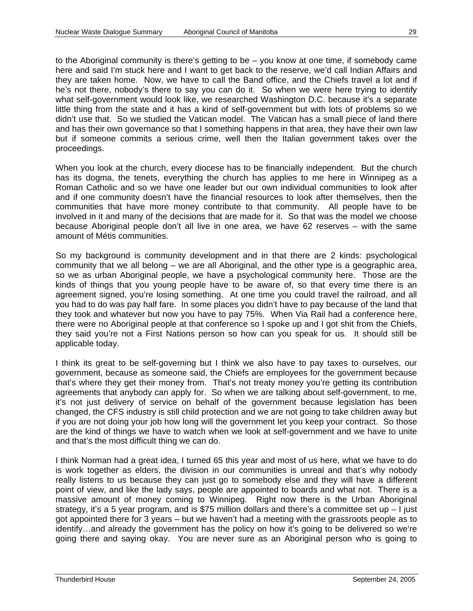to the Aboriginal community is there's getting to be – you know at one time, if somebody came here and said I'm stuck here and I want to get back to the reserve, we'd call Indian Affairs and they are taken home. Now, we have to call the Band office, and the Chiefs travel a lot and if he's not there, nobody's there to say you can do it. So when we were here trying to identify what self-government would look like, we researched Washington D.C. because it's a separate little thing from the state and it has a kind of self-government but with lots of problems so we didn't use that. So we studied the Vatican model. The Vatican has a small piece of land there and has their own governance so that I something happens in that area, they have their own law but if someone commits a serious crime, well then the Italian government takes over the proceedings.

When you look at the church, every diocese has to be financially independent. But the church has its dogma, the tenets, everything the church has applies to me here in Winnipeg as a Roman Catholic and so we have one leader but our own individual communities to look after and if one community doesn't have the financial resources to look after themselves, then the communities that have more money contribute to that community. All people have to be involved in it and many of the decisions that are made for it. So that was the model we choose because Aboriginal people don't all live in one area, we have 62 reserves – with the same amount of Métis communities.

So my background is community development and in that there are 2 kinds: psychological community that we all belong – we are all Aboriginal, and the other type is a geographic area, so we as urban Aboriginal people, we have a psychological community here. Those are the kinds of things that you young people have to be aware of, so that every time there is an agreement signed, you're losing something. At one time you could travel the railroad, and all you had to do was pay half fare. In some places you didn't have to pay because of the land that they took and whatever but now you have to pay 75%. When Via Rail had a conference here, there were no Aboriginal people at that conference so I spoke up and I got shit from the Chiefs, they said you're not a First Nations person so how can you speak for us. It should still be applicable today.

I think its great to be self-governing but I think we also have to pay taxes to ourselves, our government, because as someone said, the Chiefs are employees for the government because that's where they get their money from. That's not treaty money you're getting its contribution agreements that anybody can apply for. So when we are talking about self-government, to me, it's not just delivery of service on behalf of the government because legislation has been changed, the CFS industry is still child protection and we are not going to take children away but if you are not doing your job how long will the government let you keep your contract. So those are the kind of things we have to watch when we look at self-government and we have to unite and that's the most difficult thing we can do.

I think Norman had a great idea, I turned 65 this year and most of us here, what we have to do is work together as elders, the division in our communities is unreal and that's why nobody really listens to us because they can just go to somebody else and they will have a different point of view, and like the lady says, people are appointed to boards and what not. There is a massive amount of money coming to Winnipeg. Right now there is the Urban Aboriginal strategy, it's a 5 year program, and is \$75 million dollars and there's a committee set up – I just got appointed there for 3 years – but we haven't had a meeting with the grassroots people as to identify…and already the government has the policy on how it's going to be delivered so we're going there and saying okay. You are never sure as an Aboriginal person who is going to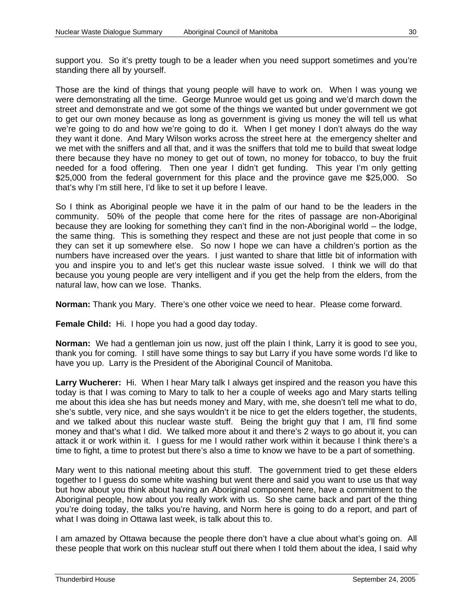support you. So it's pretty tough to be a leader when you need support sometimes and you're standing there all by yourself.

Those are the kind of things that young people will have to work on. When I was young we were demonstrating all the time. George Munroe would get us going and we'd march down the street and demonstrate and we got some of the things we wanted but under government we got to get our own money because as long as government is giving us money the will tell us what we're going to do and how we're going to do it. When I get money I don't always do the way they want it done. And Mary Wilson works across the street here at the emergency shelter and we met with the sniffers and all that, and it was the sniffers that told me to build that sweat lodge there because they have no money to get out of town, no money for tobacco, to buy the fruit needed for a food offering. Then one year I didn't get funding. This year I'm only getting \$25,000 from the federal government for this place and the province gave me \$25,000. So that's why I'm still here, I'd like to set it up before I leave.

So I think as Aboriginal people we have it in the palm of our hand to be the leaders in the community. 50% of the people that come here for the rites of passage are non-Aboriginal because they are looking for something they can't find in the non-Aboriginal world – the lodge, the same thing. This is something they respect and these are not just people that come in so they can set it up somewhere else. So now I hope we can have a children's portion as the numbers have increased over the years. I just wanted to share that little bit of information with you and inspire you to and let's get this nuclear waste issue solved. I think we will do that because you young people are very intelligent and if you get the help from the elders, from the natural law, how can we lose. Thanks.

**Norman:** Thank you Mary. There's one other voice we need to hear. Please come forward.

**Female Child:** Hi.I hope you had a good day today.

**Norman:** We had a gentleman join us now, just off the plain I think, Larry it is good to see you, thank you for coming. I still have some things to say but Larry if you have some words I'd like to have you up. Larry is the President of the Aboriginal Council of Manitoba.

**Larry Wucherer:** Hi. When I hear Mary talk I always get inspired and the reason you have this today is that I was coming to Mary to talk to her a couple of weeks ago and Mary starts telling me about this idea she has but needs money and Mary, with me, she doesn't tell me what to do, she's subtle, very nice, and she says wouldn't it be nice to get the elders together, the students, and we talked about this nuclear waste stuff. Being the bright guy that I am, I'll find some money and that's what I did. We talked more about it and there's 2 ways to go about it, you can attack it or work within it. I guess for me I would rather work within it because I think there's a time to fight, a time to protest but there's also a time to know we have to be a part of something.

Mary went to this national meeting about this stuff. The government tried to get these elders together to I guess do some white washing but went there and said you want to use us that way but how about you think about having an Aboriginal component here, have a commitment to the Aboriginal people, how about you really work with us. So she came back and part of the thing you're doing today, the talks you're having, and Norm here is going to do a report, and part of what I was doing in Ottawa last week, is talk about this to.

I am amazed by Ottawa because the people there don't have a clue about what's going on. All these people that work on this nuclear stuff out there when I told them about the idea, I said why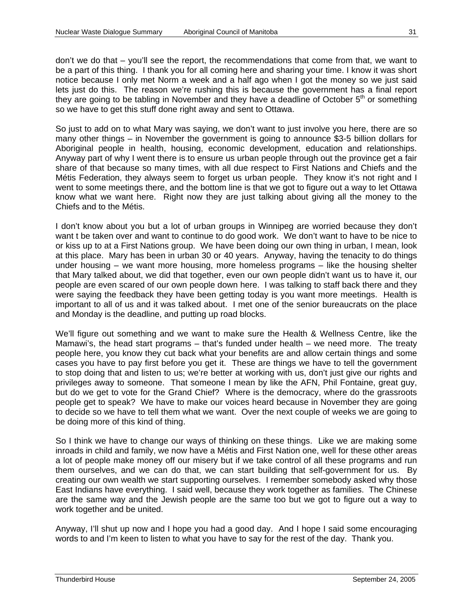don't we do that – you'll see the report, the recommendations that come from that, we want to be a part of this thing. I thank you for all coming here and sharing your time. I know it was short notice because I only met Norm a week and a half ago when I got the money so we just said lets just do this. The reason we're rushing this is because the government has a final report they are going to be tabling in November and they have a deadline of October  $5<sup>th</sup>$  or something so we have to get this stuff done right away and sent to Ottawa.

So just to add on to what Mary was saying, we don't want to just involve you here, there are so many other things – in November the government is going to announce \$3-5 billion dollars for Aboriginal people in health, housing, economic development, education and relationships. Anyway part of why I went there is to ensure us urban people through out the province get a fair share of that because so many times, with all due respect to First Nations and Chiefs and the Métis Federation, they always seem to forget us urban people. They know it's not right and I went to some meetings there, and the bottom line is that we got to figure out a way to let Ottawa know what we want here. Right now they are just talking about giving all the money to the Chiefs and to the Métis.

I don't know about you but a lot of urban groups in Winnipeg are worried because they don't want t be taken over and want to continue to do good work. We don't want to have to be nice to or kiss up to at a First Nations group. We have been doing our own thing in urban, I mean, look at this place. Mary has been in urban 30 or 40 years. Anyway, having the tenacity to do things under housing – we want more housing, more homeless programs – like the housing shelter that Mary talked about, we did that together, even our own people didn't want us to have it, our people are even scared of our own people down here. I was talking to staff back there and they were saying the feedback they have been getting today is you want more meetings. Health is important to all of us and it was talked about. I met one of the senior bureaucrats on the place and Monday is the deadline, and putting up road blocks.

We'll figure out something and we want to make sure the Health & Wellness Centre, like the Mamawi's, the head start programs – that's funded under health – we need more. The treaty people here, you know they cut back what your benefits are and allow certain things and some cases you have to pay first before you get it. These are things we have to tell the government to stop doing that and listen to us; we're better at working with us, don't just give our rights and privileges away to someone. That someone I mean by like the AFN, Phil Fontaine, great guy, but do we get to vote for the Grand Chief? Where is the democracy, where do the grassroots people get to speak? We have to make our voices heard because in November they are going to decide so we have to tell them what we want. Over the next couple of weeks we are going to be doing more of this kind of thing.

So I think we have to change our ways of thinking on these things. Like we are making some inroads in child and family, we now have a Métis and First Nation one, well for these other areas a lot of people make money off our misery but if we take control of all these programs and run them ourselves, and we can do that, we can start building that self-government for us. By creating our own wealth we start supporting ourselves. I remember somebody asked why those East Indians have everything. I said well, because they work together as families. The Chinese are the same way and the Jewish people are the same too but we got to figure out a way to work together and be united.

Anyway, I'll shut up now and I hope you had a good day. And I hope I said some encouraging words to and I'm keen to listen to what you have to say for the rest of the day. Thank you.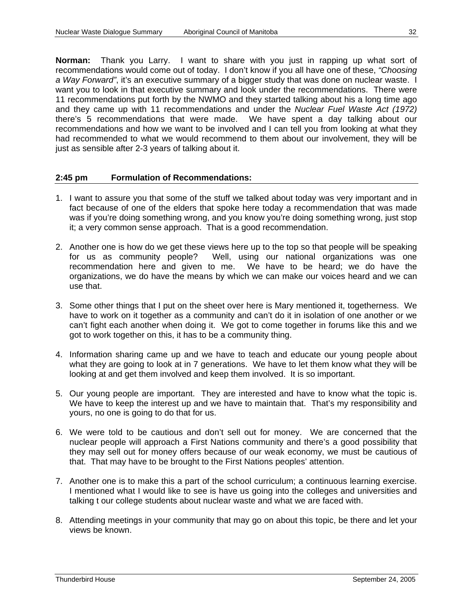**Norman:** Thank you Larry. I want to share with you just in rapping up what sort of recommendations would come out of today. I don't know if you all have one of these, *"Choosing a Way Forward"*, it's an executive summary of a bigger study that was done on nuclear waste. I want you to look in that executive summary and look under the recommendations. There were 11 recommendations put forth by the NWMO and they started talking about his a long time ago and they came up with 11 recommendations and under the *Nuclear Fuel Waste Act (1972)* there's 5 recommendations that were made. We have spent a day talking about our recommendations and how we want to be involved and I can tell you from looking at what they had recommended to what we would recommend to them about our involvement, they will be just as sensible after 2-3 years of talking about it.

#### **2:45 pm Formulation of Recommendations:**

- 1. I want to assure you that some of the stuff we talked about today was very important and in fact because of one of the elders that spoke here today a recommendation that was made was if you're doing something wrong, and you know you're doing something wrong, just stop it; a very common sense approach. That is a good recommendation.
- 2. Another one is how do we get these views here up to the top so that people will be speaking for us as community people? Well, using our national organizations was one recommendation here and given to me. We have to be heard; we do have the organizations, we do have the means by which we can make our voices heard and we can use that.
- 3. Some other things that I put on the sheet over here is Mary mentioned it, togetherness. We have to work on it together as a community and can't do it in isolation of one another or we can't fight each another when doing it. We got to come together in forums like this and we got to work together on this, it has to be a community thing.
- 4. Information sharing came up and we have to teach and educate our young people about what they are going to look at in 7 generations. We have to let them know what they will be looking at and get them involved and keep them involved. It is so important.
- 5. Our young people are important. They are interested and have to know what the topic is. We have to keep the interest up and we have to maintain that. That's my responsibility and yours, no one is going to do that for us.
- 6. We were told to be cautious and don't sell out for money. We are concerned that the nuclear people will approach a First Nations community and there's a good possibility that they may sell out for money offers because of our weak economy, we must be cautious of that. That may have to be brought to the First Nations peoples' attention.
- 7. Another one is to make this a part of the school curriculum; a continuous learning exercise. I mentioned what I would like to see is have us going into the colleges and universities and talking t our college students about nuclear waste and what we are faced with.
- 8. Attending meetings in your community that may go on about this topic, be there and let your views be known.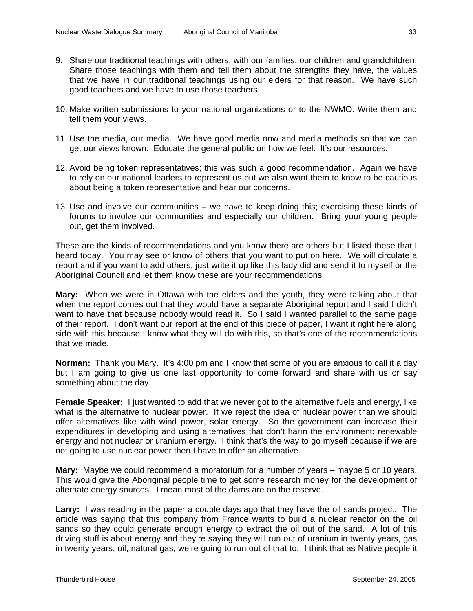- 9. Share our traditional teachings with others, with our families, our children and grandchildren. Share those teachings with them and tell them about the strengths they have, the values that we have in our traditional teachings using our elders for that reason. We have such good teachers and we have to use those teachers.
- 10. Make written submissions to your national organizations or to the NWMO. Write them and tell them your views.
- 11. Use the media, our media. We have good media now and media methods so that we can get our views known. Educate the general public on how we feel. It's our resources.
- 12. Avoid being token representatives; this was such a good recommendation. Again we have to rely on our national leaders to represent us but we also want them to know to be cautious about being a token representative and hear our concerns.
- 13. Use and involve our communities we have to keep doing this; exercising these kinds of forums to involve our communities and especially our children. Bring your young people out, get them involved.

These are the kinds of recommendations and you know there are others but I listed these that I heard today. You may see or know of others that you want to put on here. We will circulate a report and if you want to add others, just write it up like this lady did and send it to myself or the Aboriginal Council and let them know these are your recommendations.

**Mary:** When we were in Ottawa with the elders and the youth, they were talking about that when the report comes out that they would have a separate Aboriginal report and I said I didn't want to have that because nobody would read it. So I said I wanted parallel to the same page of their report. I don't want our report at the end of this piece of paper, I want it right here along side with this because I know what they will do with this, so that's one of the recommendations that we made.

**Norman:** Thank you Mary. It's 4:00 pm and I know that some of you are anxious to call it a day but I am going to give us one last opportunity to come forward and share with us or say something about the day.

**Female Speaker:** I just wanted to add that we never got to the alternative fuels and energy, like what is the alternative to nuclear power. If we reject the idea of nuclear power than we should offer alternatives like with wind power, solar energy. So the government can increase their expenditures in developing and using alternatives that don't harm the environment; renewable energy and not nuclear or uranium energy. I think that's the way to go myself because if we are not going to use nuclear power then I have to offer an alternative.

**Mary:** Maybe we could recommend a moratorium for a number of years – maybe 5 or 10 years. This would give the Aboriginal people time to get some research money for the development of alternate energy sources. I mean most of the dams are on the reserve.

**Larry:** I was reading in the paper a couple days ago that they have the oil sands project. The article was saying that this company from France wants to build a nuclear reactor on the oil sands so they could generate enough energy to extract the oil out of the sand. A lot of this driving stuff is about energy and they're saying they will run out of uranium in twenty years, gas in twenty years, oil, natural gas, we're going to run out of that to. I think that as Native people it